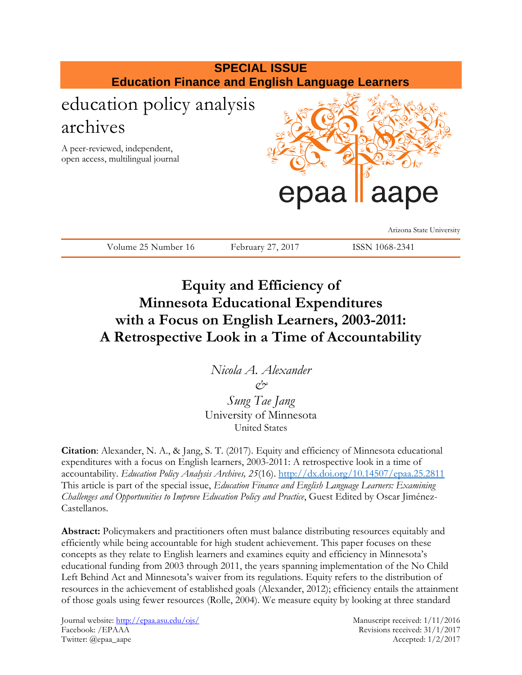

# **Equity and Efficiency of Minnesota Educational Expenditures with a Focus on English Learners, 2003-2011: A Retrospective Look in a Time of Accountability**

*Nicola A. Alexander &*

*Sung Tae Jang* University of Minnesota United States

**Citation**: Alexander, N. A., & Jang, S. T. (2017). Equity and efficiency of Minnesota educational expenditures with a focus on English learners, 2003-2011: A retrospective look in a time of accountability. *Education Policy Analysis Archives, 25*(16).<http://dx.doi.org/10.14507/epaa.25.2811> This article is part of the special issue, *Education Finance and English Language Learners: Examining Challenges and Opportunities to Improve Education Policy and Practice*, Guest Edited by Oscar Jiménez-Castellanos.

**Abstract:** Policymakers and practitioners often must balance distributing resources equitably and efficiently while being accountable for high student achievement. This paper focuses on these concepts as they relate to English learners and examines equity and efficiency in Minnesota's educational funding from 2003 through 2011, the years spanning implementation of the No Child Left Behind Act and Minnesota's waiver from its regulations. Equity refers to the distribution of resources in the achievement of established goals (Alexander, 2012); efficiency entails the attainment of those goals using fewer resources (Rolle, 2004). We measure equity by looking at three standard

Journal website: http://epaa.asu.edu/ojs/ Manuscript received: 1/11/2016 Facebook: /EPAAA Revisions received: 31/1/2017 Twitter: @epaa\_aape Accepted: 1/2/2017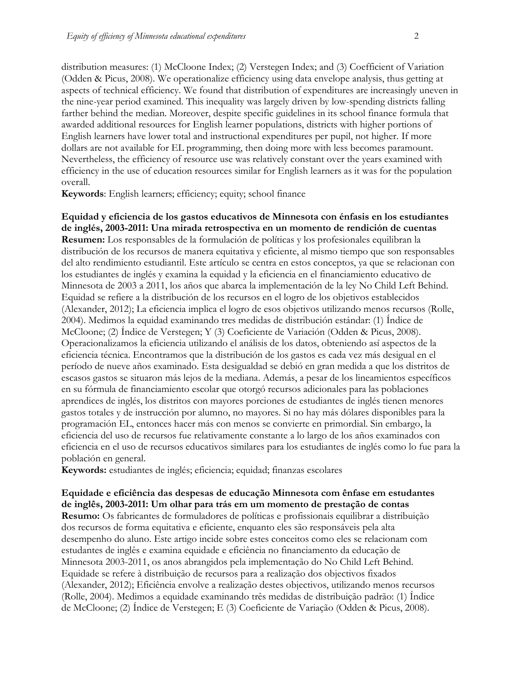distribution measures: (1) McCloone Index; (2) Verstegen Index; and (3) Coefficient of Variation (Odden & Picus, 2008). We operationalize efficiency using data envelope analysis, thus getting at aspects of technical efficiency. We found that distribution of expenditures are increasingly uneven in the nine-year period examined. This inequality was largely driven by low-spending districts falling farther behind the median. Moreover, despite specific guidelines in its school finance formula that awarded additional resources for English learner populations, districts with higher portions of English learners have lower total and instructional expenditures per pupil, not higher. If more dollars are not available for EL programming, then doing more with less becomes paramount. Nevertheless, the efficiency of resource use was relatively constant over the years examined with efficiency in the use of education resources similar for English learners as it was for the population overall.

**Keywords**: English learners; efficiency; equity; school finance

**Equidad y eficiencia de los gastos educativos de Minnesota con énfasis en los estudiantes de inglés, 2003-2011: Una mirada retrospectiva en un momento de rendición de cuentas Resumen:** Los responsables de la formulación de políticas y los profesionales equilibran la distribución de los recursos de manera equitativa y eficiente, al mismo tiempo que son responsables del alto rendimiento estudiantil. Este artículo se centra en estos conceptos, ya que se relacionan con los estudiantes de inglés y examina la equidad y la eficiencia en el financiamiento educativo de Minnesota de 2003 a 2011, los años que abarca la implementación de la ley No Child Left Behind. Equidad se refiere a la distribución de los recursos en el logro de los objetivos establecidos (Alexander, 2012); La eficiencia implica el logro de esos objetivos utilizando menos recursos (Rolle, 2004). Medimos la equidad examinando tres medidas de distribución estándar: (1) Índice de McCloone; (2) Índice de Verstegen; Y (3) Coeficiente de Variación (Odden & Picus, 2008). Operacionalizamos la eficiencia utilizando el análisis de los datos, obteniendo así aspectos de la eficiencia técnica. Encontramos que la distribución de los gastos es cada vez más desigual en el período de nueve años examinado. Esta desigualdad se debió en gran medida a que los distritos de escasos gastos se situaron más lejos de la mediana. Además, a pesar de los lineamientos específicos en su fórmula de financiamiento escolar que otorgó recursos adicionales para las poblaciones aprendices de inglés, los distritos con mayores porciones de estudiantes de inglés tienen menores gastos totales y de instrucción por alumno, no mayores. Si no hay más dólares disponibles para la programación EL, entonces hacer más con menos se convierte en primordial. Sin embargo, la eficiencia del uso de recursos fue relativamente constante a lo largo de los años examinados con eficiencia en el uso de recursos educativos similares para los estudiantes de inglés como lo fue para la población en general.

**Keywords:** estudiantes de inglés; eficiencia; equidad; finanzas escolares

**Equidade e eficiência das despesas de educação Minnesota com ênfase em estudantes de inglês, 2003-2011: Um olhar para trás em um momento de prestação de contas Resumo:** Os fabricantes de formuladores de políticas e profissionais equilibrar a distribuição dos recursos de forma equitativa e eficiente, enquanto eles são responsáveis pela alta desempenho do aluno. Este artigo incide sobre estes conceitos como eles se relacionam com estudantes de inglês e examina equidade e eficiência no financiamento da educação de Minnesota 2003-2011, os anos abrangidos pela implementação do No Child Left Behind. Equidade se refere à distribuição de recursos para a realização dos objectivos fixados (Alexander, 2012); Eficiência envolve a realização destes objectivos, utilizando menos recursos (Rolle, 2004). Medimos a equidade examinando três medidas de distribuição padrão: (1) Índice de McCloone; (2) Índice de Verstegen; E (3) Coeficiente de Variação (Odden & Picus, 2008).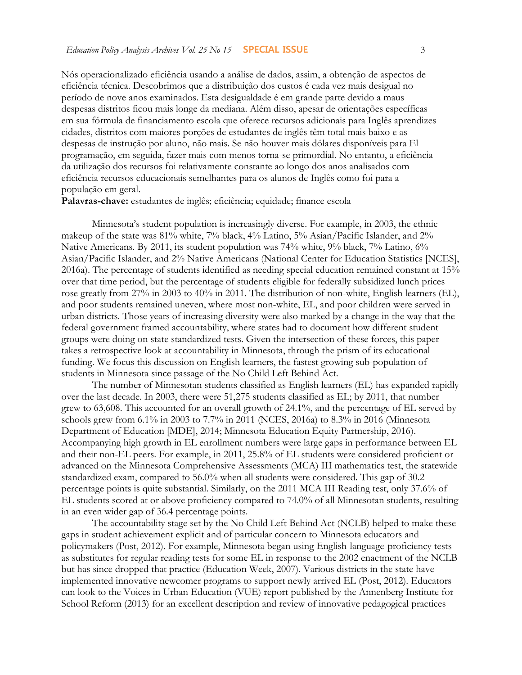Nós operacionalizado eficiência usando a análise de dados, assim, a obtenção de aspectos de eficiência técnica. Descobrimos que a distribuição dos custos é cada vez mais desigual no período de nove anos examinados. Esta desigualdade é em grande parte devido a maus despesas distritos ficou mais longe da mediana. Além disso, apesar de orientações específicas em sua fórmula de financiamento escola que oferece recursos adicionais para Inglês aprendizes cidades, distritos com maiores porções de estudantes de inglês têm total mais baixo e as despesas de instrução por aluno, não mais. Se não houver mais dólares disponíveis para El programação, em seguida, fazer mais com menos torna-se primordial. No entanto, a eficiência da utilização dos recursos foi relativamente constante ao longo dos anos analisados com eficiência recursos educacionais semelhantes para os alunos de Inglês como foi para a população em geral.

**Palavras-chave:** estudantes de inglês; eficiência; equidade; finance escola

Minnesota's student population is increasingly diverse. For example, in 2003, the ethnic makeup of the state was 81% white, 7% black, 4% Latino, 5% Asian/Pacific Islander, and 2% Native Americans. By 2011, its student population was 74% white, 9% black, 7% Latino, 6% Asian/Pacific Islander, and 2% Native Americans (National Center for Education Statistics [NCES], 2016a). The percentage of students identified as needing special education remained constant at 15% over that time period, but the percentage of students eligible for federally subsidized lunch prices rose greatly from 27% in 2003 to 40% in 2011. The distribution of non-white, English learners (EL), and poor students remained uneven, where most non-white, EL, and poor children were served in urban districts. Those years of increasing diversity were also marked by a change in the way that the federal government framed accountability, where states had to document how different student groups were doing on state standardized tests. Given the intersection of these forces, this paper takes a retrospective look at accountability in Minnesota, through the prism of its educational funding. We focus this discussion on English learners, the fastest growing sub-population of students in Minnesota since passage of the No Child Left Behind Act.

The number of Minnesotan students classified as English learners (EL) has expanded rapidly over the last decade. In 2003, there were 51,275 students classified as EL; by 2011, that number grew to 63,608. This accounted for an overall growth of 24.1%, and the percentage of EL served by schools grew from 6.1% in 2003 to 7.7% in 2011 (NCES, 2016a) to 8.3% in 2016 (Minnesota Department of Education [MDE], 2014; Minnesota Education Equity Partnership, 2016). Accompanying high growth in EL enrollment numbers were large gaps in performance between EL and their non-EL peers. For example, in 2011, 25.8% of EL students were considered proficient or advanced on the Minnesota Comprehensive Assessments (MCA) III mathematics test, the statewide standardized exam, compared to 56.0% when all students were considered. This gap of 30.2 percentage points is quite substantial. Similarly, on the 2011 MCA III Reading test, only 37.6% of EL students scored at or above proficiency compared to 74.0% of all Minnesotan students, resulting in an even wider gap of 36.4 percentage points.

The accountability stage set by the No Child Left Behind Act (NCLB) helped to make these gaps in student achievement explicit and of particular concern to Minnesota educators and policymakers (Post, 2012). For example, Minnesota began using English-language-proficiency tests as substitutes for regular reading tests for some EL in response to the 2002 enactment of the NCLB but has since dropped that practice (Education Week, 2007). Various districts in the state have implemented innovative newcomer programs to support newly arrived EL (Post, 2012). Educators can look to the Voices in Urban Education (VUE) report published by the Annenberg Institute for School Reform (2013) for an excellent description and review of innovative pedagogical practices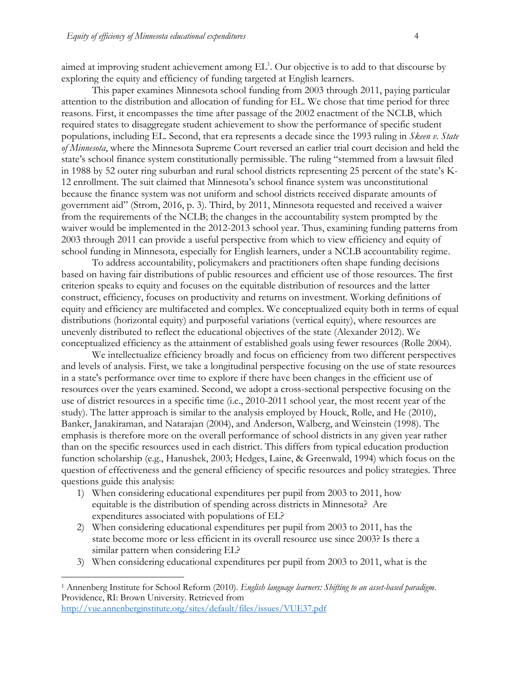aimed at improving student achievement among  $EL<sup>1</sup>$ . Our objective is to add to that discourse by exploring the equity and efficiency of funding targeted at English learners.

This paper examines Minnesota school funding from 2003 through 2011, paying particular attention to the distribution and allocation of funding for EL. We chose that time period for three reasons. First, it encompasses the time after passage of the 2002 enactment of the NCLB, which required states to disaggregate student achievement to show the performance of specific student populations, including EL. Second, that era represents a decade since the 1993 ruling in *Skeen v. State of Minnesota*, where the Minnesota Supreme Court reversed an earlier trial court decision and held the state's school finance system constitutionally permissible. The ruling "stemmed from a lawsuit filed in 1988 by 52 outer ring suburban and rural school districts representing 25 percent of the state's K-12 enrollment. The suit claimed that Minnesota's school finance system was unconstitutional because the finance system was not uniform and school districts received disparate amounts of government aid" (Strom, 2016, p. 3). Third, by 2011, Minnesota requested and received a waiver from the requirements of the NCLB; the changes in the accountability system prompted by the waiver would be implemented in the 2012-2013 school year. Thus, examining funding patterns from 2003 through 2011 can provide a useful perspective from which to view efficiency and equity of school funding in Minnesota, especially for English learners, under a NCLB accountability regime.

To address accountability, policymakers and practitioners often shape funding decisions based on having fair distributions of public resources and efficient use of those resources. The first criterion speaks to equity and focuses on the equitable distribution of resources and the latter construct, efficiency, focuses on productivity and returns on investment. Working definitions of equity and efficiency are multifaceted and complex. We conceptualized equity both in terms of equal distributions (horizontal equity) and purposeful variations (vertical equity), where resources are unevenly distributed to reflect the educational objectives of the state (Alexander 2012). We conceptualized efficiency as the attainment of established goals using fewer resources (Rolle 2004).

We intellectualize efficiency broadly and focus on efficiency from two different perspectives and levels of analysis. First, we take a longitudinal perspective focusing on the use of state resources in a state's performance over time to explore if there have been changes in the efficient use of resources over the years examined. Second, we adopt a cross-sectional perspective focusing on the use of district resources in a specific time (i.e., 2010-2011 school year, the most recent year of the study). The latter approach is similar to the analysis employed by Houck, Rolle, and He (2010), Banker, Janakiraman, and Natarajan (2004), and Anderson, Walberg, and Weinstein (1998). The emphasis is therefore more on the overall performance of school districts in any given year rather than on the specific resources used in each district. This differs from typical education production function scholarship (e.g., Hanushek, 2003; Hedges, Laine, & Greenwald, 1994) which focus on the question of effectiveness and the general efficiency of specific resources and policy strategies. Three questions guide this analysis:

- 1) When considering educational expenditures per pupil from 2003 to 2011, how equitable is the distribution of spending across districts in Minnesota? Are expenditures associated with populations of EL?
- 2) When considering educational expenditures per pupil from 2003 to 2011, has the state become more or less efficient in its overall resource use since 2003? Is there a similar pattern when considering EL?
- 3) When considering educational expenditures per pupil from 2003 to 2011, what is the

 $\overline{a}$ 

<sup>1</sup> Annenberg Institute for School Reform (2010). *English language learners: Shifting to an asset-based paradigm*. Providence, RI: Brown University. Retrieved from <http://vue.annenberginstitute.org/sites/default/files/issues/VUE37.pdf>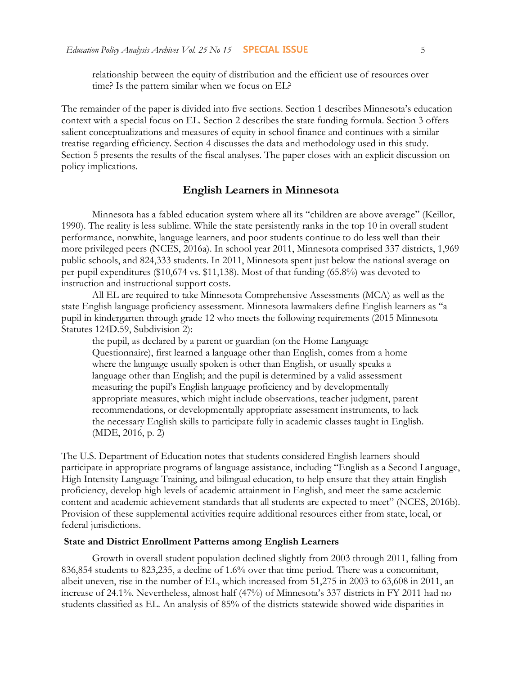relationship between the equity of distribution and the efficient use of resources over time? Is the pattern similar when we focus on EL?

The remainder of the paper is divided into five sections. Section 1 describes Minnesota's education context with a special focus on EL. Section 2 describes the state funding formula. Section 3 offers salient conceptualizations and measures of equity in school finance and continues with a similar treatise regarding efficiency. Section 4 discusses the data and methodology used in this study. Section 5 presents the results of the fiscal analyses. The paper closes with an explicit discussion on policy implications.

# **English Learners in Minnesota**

Minnesota has a fabled education system where all its "children are above average" (Keillor, 1990). The reality is less sublime. While the state persistently ranks in the top 10 in overall student performance, nonwhite, language learners, and poor students continue to do less well than their more privileged peers (NCES, 2016a). In school year 2011, Minnesota comprised 337 districts, 1,969 public schools, and 824,333 students. In 2011, Minnesota spent just below the national average on per-pupil expenditures (\$10,674 vs. \$11,138). Most of that funding (65.8%) was devoted to instruction and instructional support costs.

All EL are required to take Minnesota Comprehensive Assessments (MCA) as well as the state English language proficiency assessment. Minnesota lawmakers define English learners as "a pupil in kindergarten through grade 12 who meets the following requirements (2015 Minnesota Statutes 124D.59, Subdivision 2):

the pupil, as declared by a parent or guardian (on the Home Language Questionnaire), first learned a language other than English, comes from a home where the language usually spoken is other than English, or usually speaks a language other than English; and the pupil is determined by a valid assessment measuring the pupil's English language proficiency and by developmentally appropriate measures, which might include observations, teacher judgment, parent recommendations, or developmentally appropriate assessment instruments, to lack the necessary English skills to participate fully in academic classes taught in English. (MDE, 2016, p. 2)

The U.S. Department of Education notes that students considered English learners should participate in appropriate programs of language assistance, including "English as a Second Language, High Intensity Language Training, and bilingual education, to help ensure that they attain English proficiency, develop high levels of academic attainment in English, and meet the same academic content and academic achievement standards that all students are expected to meet" (NCES, 2016b). Provision of these supplemental activities require additional resources either from state, local, or federal jurisdictions.

#### **State and District Enrollment Patterns among English Learners**

Growth in overall student population declined slightly from 2003 through 2011, falling from 836,854 students to 823,235, a decline of 1.6% over that time period. There was a concomitant, albeit uneven, rise in the number of EL, which increased from 51,275 in 2003 to 63,608 in 2011, an increase of 24.1%. Nevertheless, almost half (47%) of Minnesota's 337 districts in FY 2011 had no students classified as EL. An analysis of 85% of the districts statewide showed wide disparities in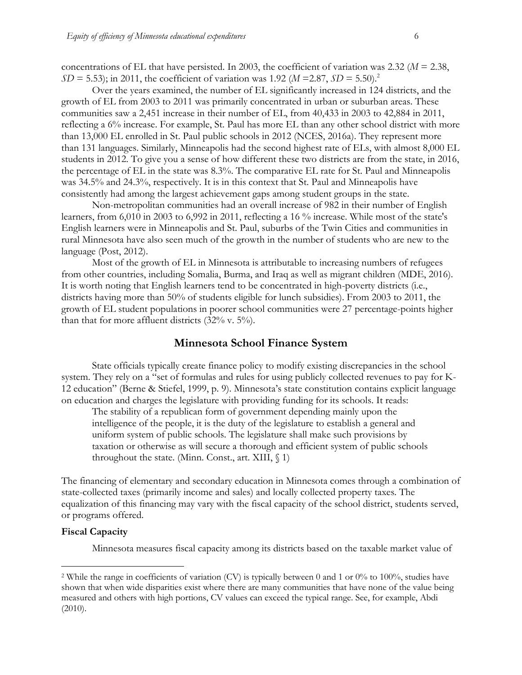concentrations of EL that have persisted. In 2003, the coefficient of variation was 2.32 (*M* = 2.38, *SD* = 5.53); in 2011, the coefficient of variation was 1.92 (*M* = 2.87, *SD* = 5.50).<sup>2</sup>

Over the years examined, the number of EL significantly increased in 124 districts, and the growth of EL from 2003 to 2011 was primarily concentrated in urban or suburban areas. These communities saw a 2,451 increase in their number of EL, from 40,433 in 2003 to 42,884 in 2011, reflecting a 6% increase. For example, St. Paul has more EL than any other school district with more than 13,000 EL enrolled in St. Paul public schools in 2012 (NCES, 2016a). They represent more than 131 languages. Similarly, Minneapolis had the second highest rate of ELs, with almost 8,000 EL students in 2012. To give you a sense of how different these two districts are from the state, in 2016, the percentage of EL in the state was 8.3%. The comparative EL rate for St. Paul and Minneapolis was 34.5% and 24.3%, respectively. It is in this context that St. Paul and Minneapolis have consistently had among the largest achievement gaps among student groups in the state.

Non-metropolitan communities had an overall increase of 982 in their number of English learners, from 6,010 in 2003 to 6,992 in 2011, reflecting a 16 % increase. While most of the state's English learners were in Minneapolis and St. Paul, suburbs of the Twin Cities and communities in rural Minnesota have also seen much of the growth in the number of students who are new to the language (Post, 2012).

Most of the growth of EL in Minnesota is attributable to increasing numbers of refugees from other countries, including Somalia, Burma, and Iraq as well as migrant children (MDE, 2016). It is worth noting that English learners tend to be concentrated in high-poverty districts (i.e., districts having more than 50% of students eligible for lunch subsidies). From 2003 to 2011, the growth of EL student populations in poorer school communities were 27 percentage-points higher than that for more affluent districts (32% v. 5%).

# **Minnesota School Finance System**

State officials typically create finance policy to modify existing discrepancies in the school system. They rely on a "set of formulas and rules for using publicly collected revenues to pay for K-12 education" (Berne & Stiefel, 1999, p. 9). Minnesota's state constitution contains explicit language on education and charges the legislature with providing funding for its schools. It reads:

The stability of a republican form of government depending mainly upon the intelligence of the people, it is the duty of the legislature to establish a general and uniform system of public schools. The legislature shall make such provisions by taxation or otherwise as will secure a thorough and efficient system of public schools throughout the state. (Minn. Const., art. XIII,  $\langle 1 \rangle$ 

The financing of elementary and secondary education in Minnesota comes through a combination of state-collected taxes (primarily income and sales) and locally collected property taxes. The equalization of this financing may vary with the fiscal capacity of the school district, students served, or programs offered.

## **Fiscal Capacity**

 $\overline{a}$ 

Minnesota measures fiscal capacity among its districts based on the taxable market value of

<sup>&</sup>lt;sup>2</sup> While the range in coefficients of variation (CV) is typically between 0 and 1 or 0% to 100%, studies have shown that when wide disparities exist where there are many communities that have none of the value being measured and others with high portions, CV values can exceed the typical range. See, for example, Abdi (2010).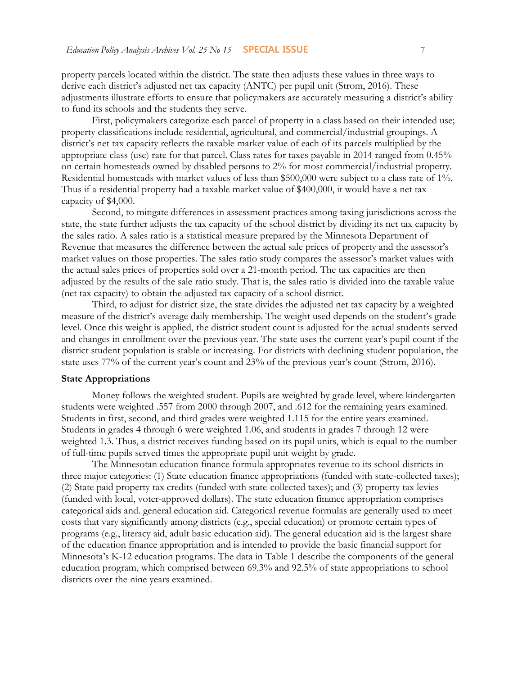property parcels located within the district. The state then adjusts these values in three ways to derive each district's adjusted net tax capacity (ANTC) per pupil unit (Strom, 2016). These adjustments illustrate efforts to ensure that policymakers are accurately measuring a district's ability to fund its schools and the students they serve.

First, policymakers categorize each parcel of property in a class based on their intended use; property classifications include residential, agricultural, and commercial/industrial groupings. A district's net tax capacity reflects the taxable market value of each of its parcels multiplied by the appropriate class (use) rate for that parcel. Class rates for taxes payable in 2014 ranged from 0.45% on certain homesteads owned by disabled persons to 2% for most commercial/industrial property. Residential homesteads with market values of less than \$500,000 were subject to a class rate of 1%. Thus if a residential property had a taxable market value of \$400,000, it would have a net tax capacity of \$4,000.

Second, to mitigate differences in assessment practices among taxing jurisdictions across the state, the state further adjusts the tax capacity of the school district by dividing its net tax capacity by the sales ratio. A sales ratio is a statistical measure prepared by the Minnesota Department of Revenue that measures the difference between the actual sale prices of property and the assessor's market values on those properties. The sales ratio study compares the assessor's market values with the actual sales prices of properties sold over a 21-month period. The tax capacities are then adjusted by the results of the sale ratio study. That is, the sales ratio is divided into the taxable value (net tax capacity) to obtain the adjusted tax capacity of a school district.

Third, to adjust for district size, the state divides the adjusted net tax capacity by a weighted measure of the district's average daily membership. The weight used depends on the student's grade level. Once this weight is applied, the district student count is adjusted for the actual students served and changes in enrollment over the previous year. The state uses the current year's pupil count if the district student population is stable or increasing. For districts with declining student population, the state uses 77% of the current year's count and 23% of the previous year's count (Strom, 2016).

#### **State Appropriations**

Money follows the weighted student. Pupils are weighted by grade level, where kindergarten students were weighted .557 from 2000 through 2007, and .612 for the remaining years examined. Students in first, second, and third grades were weighted 1.115 for the entire years examined. Students in grades 4 through 6 were weighted 1.06, and students in grades 7 through 12 were weighted 1.3. Thus, a district receives funding based on its pupil units, which is equal to the number of full-time pupils served times the appropriate pupil unit weight by grade.

The Minnesotan education finance formula appropriates revenue to its school districts in three major categories: (1) State education finance appropriations (funded with state-collected taxes); (2) State paid property tax credits (funded with state-collected taxes); and (3) property tax levies (funded with local, voter-approved dollars). The state education finance appropriation comprises categorical aids and. general education aid. Categorical revenue formulas are generally used to meet costs that vary significantly among districts (e.g., special education) or promote certain types of programs (e.g., literacy aid, adult basic education aid). The general education aid is the largest share of the education finance appropriation and is intended to provide the basic financial support for Minnesota's K-12 education programs. The data in Table 1 describe the components of the general education program, which comprised between 69.3% and 92.5% of state appropriations to school districts over the nine years examined.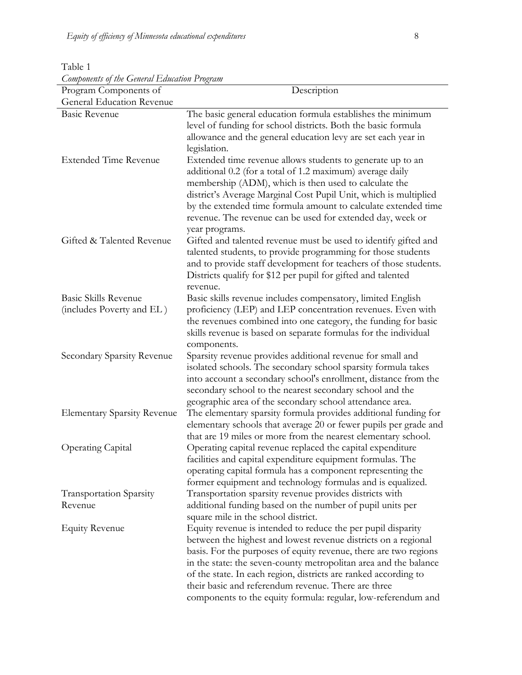| Components of the General Education Program<br>Program Components of | Description                                                                                                                                                                                                                                                                                                                                                                                                                                                       |
|----------------------------------------------------------------------|-------------------------------------------------------------------------------------------------------------------------------------------------------------------------------------------------------------------------------------------------------------------------------------------------------------------------------------------------------------------------------------------------------------------------------------------------------------------|
| General Education Revenue                                            |                                                                                                                                                                                                                                                                                                                                                                                                                                                                   |
| <b>Basic Revenue</b>                                                 | The basic general education formula establishes the minimum                                                                                                                                                                                                                                                                                                                                                                                                       |
|                                                                      | level of funding for school districts. Both the basic formula<br>allowance and the general education levy are set each year in<br>legislation.                                                                                                                                                                                                                                                                                                                    |
| <b>Extended Time Revenue</b>                                         | Extended time revenue allows students to generate up to an<br>additional 0.2 (for a total of 1.2 maximum) average daily<br>membership (ADM), which is then used to calculate the<br>district's Average Marginal Cost Pupil Unit, which is multiplied<br>by the extended time formula amount to calculate extended time<br>revenue. The revenue can be used for extended day, week or<br>year programs.                                                            |
| Gifted & Talented Revenue                                            | Gifted and talented revenue must be used to identify gifted and<br>talented students, to provide programming for those students<br>and to provide staff development for teachers of those students.<br>Districts qualify for \$12 per pupil for gifted and talented<br>revenue.                                                                                                                                                                                   |
| Basic Skills Revenue<br>(includes Poverty and EL)                    | Basic skills revenue includes compensatory, limited English<br>proficiency (LEP) and LEP concentration revenues. Even with<br>the revenues combined into one category, the funding for basic<br>skills revenue is based on separate formulas for the individual<br>components.                                                                                                                                                                                    |
| Secondary Sparsity Revenue                                           | Sparsity revenue provides additional revenue for small and<br>isolated schools. The secondary school sparsity formula takes<br>into account a secondary school's enrollment, distance from the<br>secondary school to the nearest secondary school and the<br>geographic area of the secondary school attendance area.                                                                                                                                            |
| <b>Elementary Sparsity Revenue</b>                                   | The elementary sparsity formula provides additional funding for<br>elementary schools that average 20 or fewer pupils per grade and<br>that are 19 miles or more from the nearest elementary school.                                                                                                                                                                                                                                                              |
| <b>Operating Capital</b>                                             | Operating capital revenue replaced the capital expenditure<br>facilities and capital expenditure equipment formulas. The<br>operating capital formula has a component representing the<br>former equipment and technology formulas and is equalized.                                                                                                                                                                                                              |
| <b>Transportation Sparsity</b>                                       | Transportation sparsity revenue provides districts with                                                                                                                                                                                                                                                                                                                                                                                                           |
| Revenue                                                              | additional funding based on the number of pupil units per<br>square mile in the school district.                                                                                                                                                                                                                                                                                                                                                                  |
| <b>Equity Revenue</b>                                                | Equity revenue is intended to reduce the per pupil disparity<br>between the highest and lowest revenue districts on a regional<br>basis. For the purposes of equity revenue, there are two regions<br>in the state: the seven-county metropolitan area and the balance<br>of the state. In each region, districts are ranked according to<br>their basic and referendum revenue. There are three<br>components to the equity formula: regular, low-referendum and |

Table 1 *Components of the General Education Program*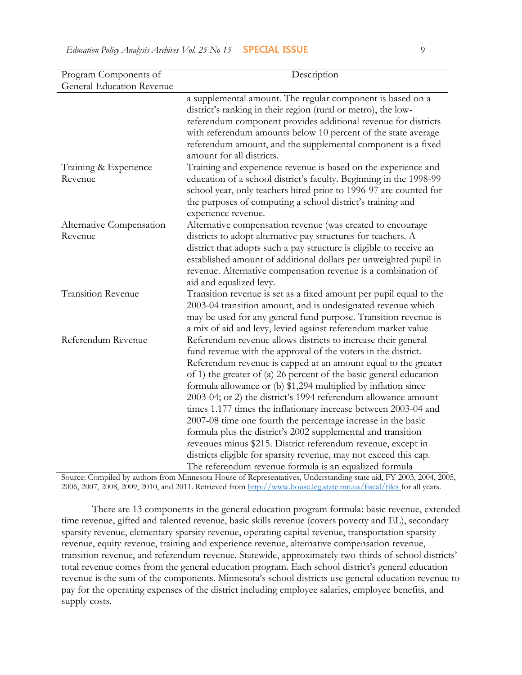| Program Components of               | Description                                                                                                                                                                                                                                                                                                                                                                                                                                                                                                                                                                                                                                                                                                                                                                                                  |
|-------------------------------------|--------------------------------------------------------------------------------------------------------------------------------------------------------------------------------------------------------------------------------------------------------------------------------------------------------------------------------------------------------------------------------------------------------------------------------------------------------------------------------------------------------------------------------------------------------------------------------------------------------------------------------------------------------------------------------------------------------------------------------------------------------------------------------------------------------------|
| <b>General Education Revenue</b>    |                                                                                                                                                                                                                                                                                                                                                                                                                                                                                                                                                                                                                                                                                                                                                                                                              |
|                                     | a supplemental amount. The regular component is based on a<br>district's ranking in their region (rural or metro), the low-<br>referendum component provides additional revenue for districts<br>with referendum amounts below 10 percent of the state average<br>referendum amount, and the supplemental component is a fixed                                                                                                                                                                                                                                                                                                                                                                                                                                                                               |
| Training & Experience<br>Revenue    | amount for all districts.<br>Training and experience revenue is based on the experience and<br>education of a school district's faculty. Beginning in the 1998-99<br>school year, only teachers hired prior to 1996-97 are counted for<br>the purposes of computing a school district's training and<br>experience revenue.                                                                                                                                                                                                                                                                                                                                                                                                                                                                                  |
| Alternative Compensation<br>Revenue | Alternative compensation revenue (was created to encourage<br>districts to adopt alternative pay structures for teachers. A<br>district that adopts such a pay structure is eligible to receive an<br>established amount of additional dollars per unweighted pupil in<br>revenue. Alternative compensation revenue is a combination of<br>aid and equalized levy.                                                                                                                                                                                                                                                                                                                                                                                                                                           |
| <b>Transition Revenue</b>           | Transition revenue is set as a fixed amount per pupil equal to the<br>2003-04 transition amount, and is undesignated revenue which<br>may be used for any general fund purpose. Transition revenue is<br>a mix of aid and levy, levied against referendum market value                                                                                                                                                                                                                                                                                                                                                                                                                                                                                                                                       |
| Referendum Revenue                  | Referendum revenue allows districts to increase their general<br>fund revenue with the approval of the voters in the district.<br>Referendum revenue is capped at an amount equal to the greater<br>of 1) the greater of (a) 26 percent of the basic general education<br>formula allowance or (b) \$1,294 multiplied by inflation since<br>2003-04; or 2) the district's 1994 referendum allowance amount<br>times 1.177 times the inflationary increase between 2003-04 and<br>2007-08 time one fourth the percentage increase in the basic<br>formula plus the district's 2002 supplemental and transition<br>revenues minus \$215. District referendum revenue, except in<br>districts eligible for sparsity revenue, may not exceed this cap.<br>The referendum revenue formula is an equalized formula |

Source: Compiled by authors from Minnesota House of Representatives, Understanding state aid, FY 2003, 2004, 2005, 2006, 2007, 2008, 2009, 2010, and 2011. Retrieved from [http://www.house.leg.state.mn.us/fiscal/files for all years.](http://www.house.leg.state.mn.us/fiscal/files/10fined.pdf%20for%202010-2011)

There are 13 components in the general education program formula: basic revenue, extended time revenue, gifted and talented revenue, basic skills revenue (covers poverty and EL), secondary sparsity revenue, elementary sparsity revenue, operating capital revenue, transportation sparsity revenue, equity revenue, training and experience revenue, alternative compensation revenue, transition revenue, and referendum revenue. Statewide, approximately two-thirds of school districts' total revenue comes from the general education program. Each school district's general education revenue is the sum of the components. Minnesota's school districts use general education revenue to pay for the operating expenses of the district including employee salaries, employee benefits, and supply costs.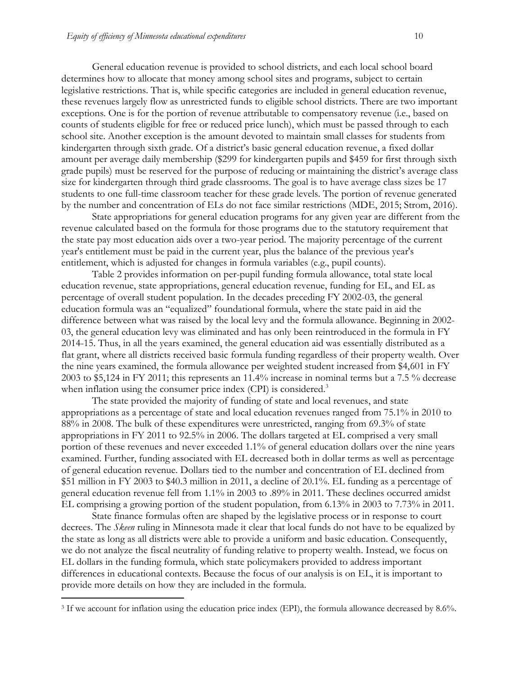General education revenue is provided to school districts, and each local school board determines how to allocate that money among school sites and programs, subject to certain legislative restrictions. That is, while specific categories are included in general education revenue, these revenues largely flow as unrestricted funds to eligible school districts. There are two important exceptions. One is for the portion of revenue attributable to compensatory revenue (i.e., based on counts of students eligible for free or reduced price lunch), which must be passed through to each school site. Another exception is the amount devoted to maintain small classes for students from kindergarten through sixth grade. Of a district's basic general education revenue, a fixed dollar amount per average daily membership (\$299 for kindergarten pupils and \$459 for first through sixth grade pupils) must be reserved for the purpose of reducing or maintaining the district's average class size for kindergarten through third grade classrooms. The goal is to have average class sizes be 17 students to one full-time classroom teacher for these grade levels. The portion of revenue generated by the number and concentration of ELs do not face similar restrictions (MDE, 2015; Strom, 2016).

State appropriations for general education programs for any given year are different from the revenue calculated based on the formula for those programs due to the statutory requirement that the state pay most education aids over a two-year period. The majority percentage of the current year's entitlement must be paid in the current year, plus the balance of the previous year's entitlement, which is adjusted for changes in formula variables (e.g., pupil counts).

Table 2 provides information on per-pupil funding formula allowance, total state local education revenue, state appropriations, general education revenue, funding for EL, and EL as percentage of overall student population. In the decades preceding FY 2002-03, the general education formula was an "equalized" foundational formula, where the state paid in aid the difference between what was raised by the local levy and the formula allowance. Beginning in 2002- 03, the general education levy was eliminated and has only been reintroduced in the formula in FY 2014-15. Thus, in all the years examined, the general education aid was essentially distributed as a flat grant, where all districts received basic formula funding regardless of their property wealth. Over the nine years examined, the formula allowance per weighted student increased from \$4,601 in FY 2003 to \$5,124 in FY 2011; this represents an 11.4% increase in nominal terms but a 7.5 % decrease when inflation using the consumer price index (CPI) is considered.<sup>3</sup>

The state provided the majority of funding of state and local revenues, and state appropriations as a percentage of state and local education revenues ranged from 75.1% in 2010 to 88% in 2008. The bulk of these expenditures were unrestricted, ranging from 69.3% of state appropriations in FY 2011 to 92.5% in 2006. The dollars targeted at EL comprised a very small portion of these revenues and never exceeded 1.1% of general education dollars over the nine years examined. Further, funding associated with EL decreased both in dollar terms as well as percentage of general education revenue. Dollars tied to the number and concentration of EL declined from \$51 million in FY 2003 to \$40.3 million in 2011, a decline of 20.1%. EL funding as a percentage of general education revenue fell from 1.1% in 2003 to .89% in 2011. These declines occurred amidst EL comprising a growing portion of the student population, from 6.13% in 2003 to 7.73% in 2011.

State finance formulas often are shaped by the legislative process or in response to court decrees. The *Skeen* ruling in Minnesota made it clear that local funds do not have to be equalized by the state as long as all districts were able to provide a uniform and basic education. Consequently, we do not analyze the fiscal neutrality of funding relative to property wealth. Instead, we focus on EL dollars in the funding formula, which state policymakers provided to address important differences in educational contexts. Because the focus of our analysis is on EL, it is important to provide more details on how they are included in the formula.

 $\overline{a}$ 

<sup>3</sup> If we account for inflation using the education price index (EPI), the formula allowance decreased by 8.6%.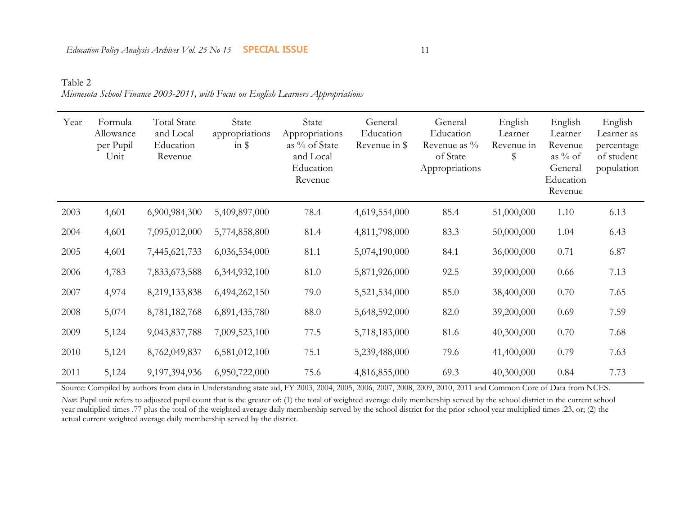Table 2 *Minnesota School Finance 2003-2011, with Focus on English Learners Appropriations*

| Year | Formula<br>Allowance<br>per Pupil<br>Unit | <b>Total State</b><br>and Local<br>Education<br>Revenue | State<br>appropriations<br>$in$ \$ | State<br>Appropriations<br>as % of State<br>and Local<br>Education<br>Revenue | General<br>Education<br>Revenue in \$ | General<br>Education<br>Revenue as $\%$<br>of State<br>Appropriations | English<br>Learner<br>Revenue in<br>\$ | English<br>Learner<br>Revenue<br>as $\%$ of<br>General<br>Education<br>Revenue | English<br>Learner as<br>percentage<br>of student<br>population |
|------|-------------------------------------------|---------------------------------------------------------|------------------------------------|-------------------------------------------------------------------------------|---------------------------------------|-----------------------------------------------------------------------|----------------------------------------|--------------------------------------------------------------------------------|-----------------------------------------------------------------|
| 2003 | 4,601                                     | 6,900,984,300                                           | 5,409,897,000                      | 78.4                                                                          | 4,619,554,000                         | 85.4                                                                  | 51,000,000                             | 1.10                                                                           | 6.13                                                            |
| 2004 | 4,601                                     | 7,095,012,000                                           | 5,774,858,800                      | 81.4                                                                          | 4,811,798,000                         | 83.3                                                                  | 50,000,000                             | 1.04                                                                           | 6.43                                                            |
| 2005 | 4,601                                     | 7,445,621,733                                           | 6,036,534,000                      | 81.1                                                                          | 5,074,190,000                         | 84.1                                                                  | 36,000,000                             | 0.71                                                                           | 6.87                                                            |
| 2006 | 4,783                                     | 7,833,673,588                                           | 6,344,932,100                      | 81.0                                                                          | 5,871,926,000                         | 92.5                                                                  | 39,000,000                             | 0.66                                                                           | 7.13                                                            |
| 2007 | 4,974                                     | 8,219,133,838                                           | 6,494,262,150                      | 79.0                                                                          | 5,521,534,000                         | 85.0                                                                  | 38,400,000                             | 0.70                                                                           | 7.65                                                            |
| 2008 | 5,074                                     | 8,781,182,768                                           | 6,891,435,780                      | 88.0                                                                          | 5,648,592,000                         | 82.0                                                                  | 39,200,000                             | 0.69                                                                           | 7.59                                                            |
| 2009 | 5,124                                     | 9,043,837,788                                           | 7,009,523,100                      | 77.5                                                                          | 5,718,183,000                         | 81.6                                                                  | 40,300,000                             | 0.70                                                                           | 7.68                                                            |
| 2010 | 5,124                                     | 8,762,049,837                                           | 6,581,012,100                      | 75.1                                                                          | 5,239,488,000                         | 79.6                                                                  | 41,400,000                             | 0.79                                                                           | 7.63                                                            |
| 2011 | 5,124                                     | 9,197,394,936                                           | 6,950,722,000                      | 75.6                                                                          | 4,816,855,000                         | 69.3                                                                  | 40,300,000                             | 0.84                                                                           | 7.73                                                            |

Source: Compiled by authors from data in Understanding state aid, FY 2003, 2004, 2005, 2006, 2007, 2008, 2009, 2010, 2011 and Common Core of Data from NCES. *Note*: Pupil unit refers to adjusted pupil count that is the greater of: (1) the total of weighted average daily membership served by the school district in the current school year multiplied times .77 plus the total of the weighted average daily membership served by the school district for the prior school year multiplied times .23, or; (2) the actual current weighted average daily membership served by the district.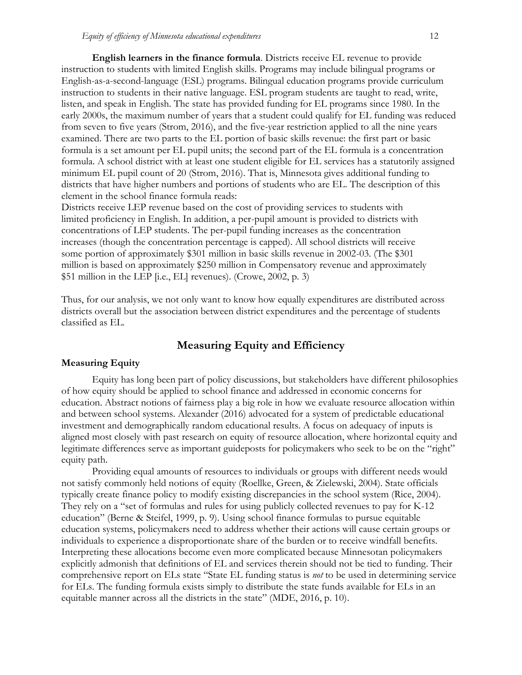**English learners in the finance formula**. Districts receive EL revenue to provide instruction to students with limited English skills. Programs may include bilingual programs or English-as-a-second-language (ESL) programs. Bilingual education programs provide curriculum instruction to students in their native language. ESL program students are taught to read, write, listen, and speak in English. The state has provided funding for EL programs since 1980. In the early 2000s, the maximum number of years that a student could qualify for EL funding was reduced from seven to five years (Strom, 2016), and the five-year restriction applied to all the nine years examined. There are two parts to the EL portion of basic skills revenue: the first part or basic formula is a set amount per EL pupil units; the second part of the EL formula is a concentration formula. A school district with at least one student eligible for EL services has a statutorily assigned minimum EL pupil count of 20 (Strom, 2016). That is, Minnesota gives additional funding to districts that have higher numbers and portions of students who are EL. The description of this element in the school finance formula reads:

Districts receive LEP revenue based on the cost of providing services to students with limited proficiency in English. In addition, a per-pupil amount is provided to districts with concentrations of LEP students. The per-pupil funding increases as the concentration increases (though the concentration percentage is capped). All school districts will receive some portion of approximately \$301 million in basic skills revenue in 2002-03. (The \$301 million is based on approximately \$250 million in Compensatory revenue and approximately \$51 million in the LEP [i.e., EL] revenues). (Crowe, 2002, p. 3)

Thus, for our analysis, we not only want to know how equally expenditures are distributed across districts overall but the association between district expenditures and the percentage of students classified as EL.

# **Measuring Equity and Efficiency**

### **Measuring Equity**

Equity has long been part of policy discussions, but stakeholders have different philosophies of how equity should be applied to school finance and addressed in economic concerns for education. Abstract notions of fairness play a big role in how we evaluate resource allocation within and between school systems. Alexander (2016) advocated for a system of predictable educational investment and demographically random educational results. A focus on adequacy of inputs is aligned most closely with past research on equity of resource allocation, where horizontal equity and legitimate differences serve as important guideposts for policymakers who seek to be on the "right" equity path.

Providing equal amounts of resources to individuals or groups with different needs would not satisfy commonly held notions of equity (Roellke, Green, & Zielewski, 2004). State officials typically create finance policy to modify existing discrepancies in the school system (Rice, 2004). They rely on a "set of formulas and rules for using publicly collected revenues to pay for K-12 education" (Berne & Steifel, 1999, p. 9). Using school finance formulas to pursue equitable education systems, policymakers need to address whether their actions will cause certain groups or individuals to experience a disproportionate share of the burden or to receive windfall benefits. Interpreting these allocations become even more complicated because Minnesotan policymakers explicitly admonish that definitions of EL and services therein should not be tied to funding. Their comprehensive report on ELs state "State EL funding status is *not* to be used in determining service for ELs. The funding formula exists simply to distribute the state funds available for ELs in an equitable manner across all the districts in the state" (MDE, 2016, p. 10).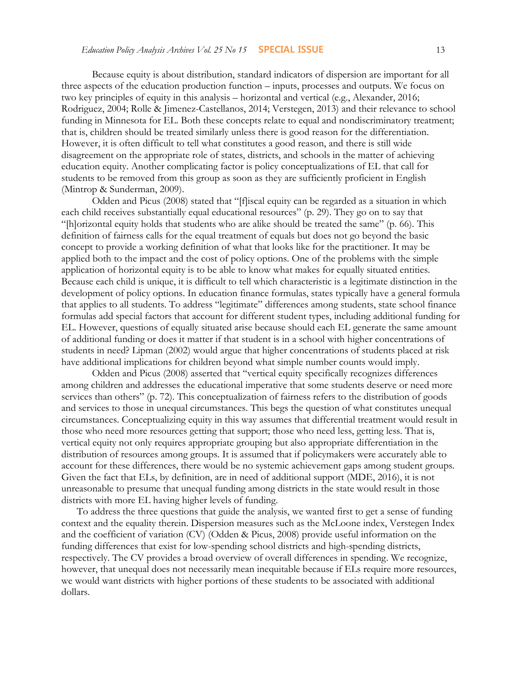Because equity is about distribution, standard indicators of dispersion are important for all three aspects of the education production function – inputs, processes and outputs. We focus on two key principles of equity in this analysis – horizontal and vertical (e.g., Alexander, 2016; Rodriguez, 2004; Rolle & Jimenez-Castellanos, 2014; Verstegen, 2013) and their relevance to school funding in Minnesota for EL. Both these concepts relate to equal and nondiscriminatory treatment; that is, children should be treated similarly unless there is good reason for the differentiation. However, it is often difficult to tell what constitutes a good reason, and there is still wide disagreement on the appropriate role of states, districts, and schools in the matter of achieving education equity. Another complicating factor is policy conceptualizations of EL that call for students to be removed from this group as soon as they are sufficiently proficient in English (Mintrop & Sunderman, 2009).

Odden and Picus (2008) stated that "[f]iscal equity can be regarded as a situation in which each child receives substantially equal educational resources" (p. 29). They go on to say that "[h]orizontal equity holds that students who are alike should be treated the same" (p. 66)*.* This definition of fairness calls for the equal treatment of equals but does not go beyond the basic concept to provide a working definition of what that looks like for the practitioner. It may be applied both to the impact and the cost of policy options. One of the problems with the simple application of horizontal equity is to be able to know what makes for equally situated entities. Because each child is unique, it is difficult to tell which characteristic is a legitimate distinction in the development of policy options. In education finance formulas, states typically have a general formula that applies to all students. To address "legitimate" differences among students, state school finance formulas add special factors that account for different student types, including additional funding for EL. However, questions of equally situated arise because should each EL generate the same amount of additional funding or does it matter if that student is in a school with higher concentrations of students in need? Lipman (2002) would argue that higher concentrations of students placed at risk have additional implications for children beyond what simple number counts would imply.

Odden and Picus (2008) asserted that "vertical equity specifically recognizes differences among children and addresses the educational imperative that some students deserve or need more services than others" (p. 72). This conceptualization of fairness refers to the distribution of goods and services to those in unequal circumstances. This begs the question of what constitutes unequal circumstances. Conceptualizing equity in this way assumes that differential treatment would result in those who need more resources getting that support; those who need less, getting less. That is, vertical equity not only requires appropriate grouping but also appropriate differentiation in the distribution of resources among groups. It is assumed that if policymakers were accurately able to account for these differences, there would be no systemic achievement gaps among student groups. Given the fact that ELs, by definition, are in need of additional support (MDE, 2016), it is not unreasonable to presume that unequal funding among districts in the state would result in those districts with more EL having higher levels of funding.

To address the three questions that guide the analysis, we wanted first to get a sense of funding context and the equality therein. Dispersion measures such as the McLoone index, Verstegen Index and the coefficient of variation (CV) (Odden & Picus, 2008) provide useful information on the funding differences that exist for low-spending school districts and high-spending districts, respectively. The CV provides a broad overview of overall differences in spending. We recognize, however, that unequal does not necessarily mean inequitable because if ELs require more resources, we would want districts with higher portions of these students to be associated with additional dollars.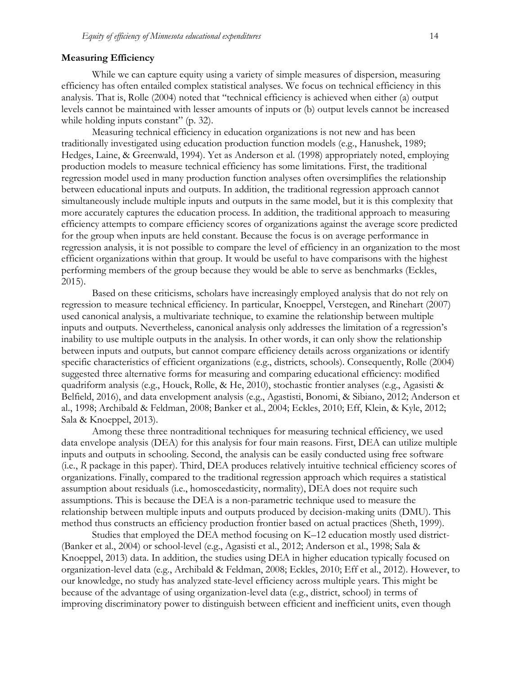#### **Measuring Efficiency**

While we can capture equity using a variety of simple measures of dispersion, measuring efficiency has often entailed complex statistical analyses. We focus on technical efficiency in this analysis. That is, Rolle (2004) noted that "technical efficiency is achieved when either (a) output levels cannot be maintained with lesser amounts of inputs or (b) output levels cannot be increased while holding inputs constant" (p. 32).

Measuring technical efficiency in education organizations is not new and has been traditionally investigated using education production function models (e.g., Hanushek, 1989; Hedges, Laine, & Greenwald, 1994). Yet as Anderson et al. (1998) appropriately noted, employing production models to measure technical efficiency has some limitations. First, the traditional regression model used in many production function analyses often oversimplifies the relationship between educational inputs and outputs. In addition, the traditional regression approach cannot simultaneously include multiple inputs and outputs in the same model, but it is this complexity that more accurately captures the education process. In addition, the traditional approach to measuring efficiency attempts to compare efficiency scores of organizations against the average score predicted for the group when inputs are held constant. Because the focus is on average performance in regression analysis, it is not possible to compare the level of efficiency in an organization to the most efficient organizations within that group. It would be useful to have comparisons with the highest performing members of the group because they would be able to serve as benchmarks (Eckles, 2015).

Based on these criticisms, scholars have increasingly employed analysis that do not rely on regression to measure technical efficiency. In particular, Knoeppel, Verstegen, and Rinehart (2007) used canonical analysis, a multivariate technique, to examine the relationship between multiple inputs and outputs. Nevertheless, canonical analysis only addresses the limitation of a regression's inability to use multiple outputs in the analysis. In other words, it can only show the relationship between inputs and outputs, but cannot compare efficiency details across organizations or identify specific characteristics of efficient organizations (e.g., districts, schools). Consequently, Rolle (2004) suggested three alternative forms for measuring and comparing educational efficiency: modified quadriform analysis (e.g., Houck, Rolle, & He, 2010), stochastic frontier analyses (e.g., Agasisti & Belfield, 2016), and data envelopment analysis (e.g., Agastisti, Bonomi, & Sibiano, 2012; Anderson et al., 1998; Archibald & Feldman, 2008; Banker et al., 2004; Eckles, 2010; Eff, Klein, & Kyle, 2012; Sala & Knoeppel, 2013).

Among these three nontraditional techniques for measuring technical efficiency, we used data envelope analysis (DEA) for this analysis for four main reasons. First, DEA can utilize multiple inputs and outputs in schooling. Second, the analysis can be easily conducted using free software (i.e., *R* package in this paper). Third, DEA produces relatively intuitive technical efficiency scores of organizations. Finally, compared to the traditional regression approach which requires a statistical assumption about residuals (i.e., homoscedasticity, normality), DEA does not require such assumptions. This is because the DEA is a non-parametric technique used to measure the relationship between multiple inputs and outputs produced by decision-making units (DMU). This method thus constructs an efficiency production frontier based on actual practices (Sheth, 1999).

Studies that employed the DEA method focusing on K–12 education mostly used district- (Banker et al., 2004) or school-level (e.g., Agasisti et al., 2012; Anderson et al., 1998; Sala & Knoeppel, 2013) data. In addition, the studies using DEA in higher education typically focused on organization-level data (e.g., Archibald & Feldman, 2008; Eckles, 2010; Eff et al., 2012). However, to our knowledge, no study has analyzed state-level efficiency across multiple years. This might be because of the advantage of using organization-level data (e.g., district, school) in terms of improving discriminatory power to distinguish between efficient and inefficient units, even though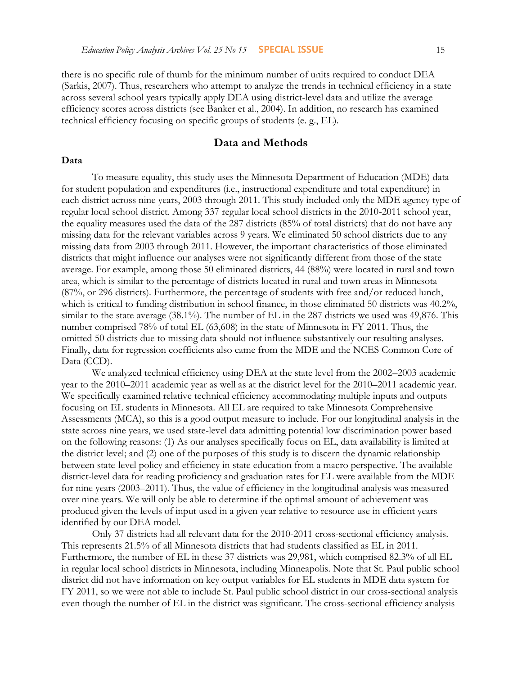there is no specific rule of thumb for the minimum number of units required to conduct DEA (Sarkis, 2007). Thus, researchers who attempt to analyze the trends in technical efficiency in a state across several school years typically apply DEA using district-level data and utilize the average efficiency scores across districts (see Banker et al., 2004). In addition, no research has examined technical efficiency focusing on specific groups of students (e. g., EL).

# **Data and Methods**

#### **Data**

To measure equality, this study uses the Minnesota Department of Education (MDE) data for student population and expenditures (i.e., instructional expenditure and total expenditure) in each district across nine years, 2003 through 2011. This study included only the MDE agency type of regular local school district. Among 337 regular local school districts in the 2010-2011 school year, the equality measures used the data of the 287 districts (85% of total districts) that do not have any missing data for the relevant variables across 9 years. We eliminated 50 school districts due to any missing data from 2003 through 2011. However, the important characteristics of those eliminated districts that might influence our analyses were not significantly different from those of the state average. For example, among those 50 eliminated districts, 44 (88%) were located in rural and town area, which is similar to the percentage of districts located in rural and town areas in Minnesota (87%, or 296 districts). Furthermore, the percentage of students with free and/or reduced lunch, which is critical to funding distribution in school finance, in those eliminated 50 districts was 40.2%, similar to the state average (38.1%). The number of EL in the 287 districts we used was 49,876. This number comprised 78% of total EL (63,608) in the state of Minnesota in FY 2011. Thus, the omitted 50 districts due to missing data should not influence substantively our resulting analyses. Finally, data for regression coefficients also came from the MDE and the NCES Common Core of Data (CCD).

We analyzed technical efficiency using DEA at the state level from the 2002–2003 academic year to the 2010–2011 academic year as well as at the district level for the 2010–2011 academic year. We specifically examined relative technical efficiency accommodating multiple inputs and outputs focusing on EL students in Minnesota. All EL are required to take Minnesota Comprehensive Assessments (MCA), so this is a good output measure to include. For our longitudinal analysis in the state across nine years, we used state-level data admitting potential low discrimination power based on the following reasons: (1) As our analyses specifically focus on EL, data availability is limited at the district level; and (2) one of the purposes of this study is to discern the dynamic relationship between state-level policy and efficiency in state education from a macro perspective. The available district-level data for reading proficiency and graduation rates for EL were available from the MDE for nine years (2003–2011). Thus, the value of efficiency in the longitudinal analysis was measured over nine years. We will only be able to determine if the optimal amount of achievement was produced given the levels of input used in a given year relative to resource use in efficient years identified by our DEA model.

Only 37 districts had all relevant data for the 2010-2011 cross-sectional efficiency analysis. This represents 21.5% of all Minnesota districts that had students classified as EL in 2011. Furthermore, the number of EL in these 37 districts was 29,981, which comprised 82.3% of all EL in regular local school districts in Minnesota, including Minneapolis. Note that St. Paul public school district did not have information on key output variables for EL students in MDE data system for FY 2011, so we were not able to include St. Paul public school district in our cross-sectional analysis even though the number of EL in the district was significant. The cross-sectional efficiency analysis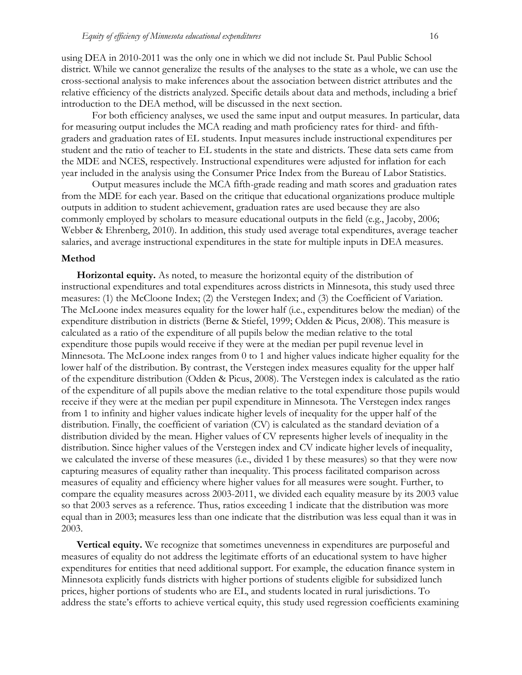using DEA in 2010-2011 was the only one in which we did not include St. Paul Public School district. While we cannot generalize the results of the analyses to the state as a whole, we can use the cross-sectional analysis to make inferences about the association between district attributes and the relative efficiency of the districts analyzed. Specific details about data and methods, including a brief introduction to the DEA method, will be discussed in the next section.

For both efficiency analyses, we used the same input and output measures. In particular, data for measuring output includes the MCA reading and math proficiency rates for third- and fifthgraders and graduation rates of EL students. Input measures include instructional expenditures per student and the ratio of teacher to EL students in the state and districts. These data sets came from the MDE and NCES, respectively. Instructional expenditures were adjusted for inflation for each year included in the analysis using the Consumer Price Index from the Bureau of Labor Statistics.

Output measures include the MCA fifth-grade reading and math scores and graduation rates from the MDE for each year. Based on the critique that educational organizations produce multiple outputs in addition to student achievement, graduation rates are used because they are also commonly employed by scholars to measure educational outputs in the field (e.g., Jacoby, 2006; Webber & Ehrenberg, 2010). In addition, this study used average total expenditures, average teacher salaries, and average instructional expenditures in the state for multiple inputs in DEA measures.

#### **Method**

**Horizontal equity.** As noted, to measure the horizontal equity of the distribution of instructional expenditures and total expenditures across districts in Minnesota, this study used three measures: (1) the McCloone Index; (2) the Verstegen Index; and (3) the Coefficient of Variation. The McLoone index measures equality for the lower half (i.e., expenditures below the median) of the expenditure distribution in districts (Berne & Stiefel, 1999; Odden & Picus, 2008). This measure is calculated as a ratio of the expenditure of all pupils below the median relative to the total expenditure those pupils would receive if they were at the median per pupil revenue level in Minnesota. The McLoone index ranges from 0 to 1 and higher values indicate higher equality for the lower half of the distribution. By contrast, the Verstegen index measures equality for the upper half of the expenditure distribution (Odden & Picus, 2008). The Verstegen index is calculated as the ratio of the expenditure of all pupils above the median relative to the total expenditure those pupils would receive if they were at the median per pupil expenditure in Minnesota. The Verstegen index ranges from 1 to infinity and higher values indicate higher levels of inequality for the upper half of the distribution. Finally, the coefficient of variation (CV) is calculated as the standard deviation of a distribution divided by the mean. Higher values of CV represents higher levels of inequality in the distribution. Since higher values of the Verstegen index and CV indicate higher levels of inequality, we calculated the inverse of these measures (i.e., divided 1 by these measures) so that they were now capturing measures of equality rather than inequality. This process facilitated comparison across measures of equality and efficiency where higher values for all measures were sought. Further, to compare the equality measures across 2003-2011, we divided each equality measure by its 2003 value so that 2003 serves as a reference. Thus, ratios exceeding 1 indicate that the distribution was more equal than in 2003; measures less than one indicate that the distribution was less equal than it was in 2003.

**Vertical equity.** We recognize that sometimes unevenness in expenditures are purposeful and measures of equality do not address the legitimate efforts of an educational system to have higher expenditures for entities that need additional support. For example, the education finance system in Minnesota explicitly funds districts with higher portions of students eligible for subsidized lunch prices, higher portions of students who are EL, and students located in rural jurisdictions. To address the state's efforts to achieve vertical equity, this study used regression coefficients examining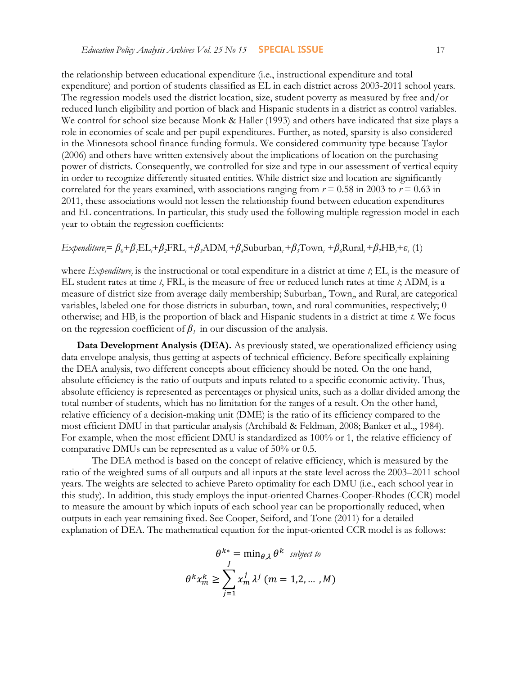the relationship between educational expenditure (i.e., instructional expenditure and total expenditure) and portion of students classified as EL in each district across 2003-2011 school years. The regression models used the district location, size, student poverty as measured by free and/or reduced lunch eligibility and portion of black and Hispanic students in a district as control variables. We control for school size because Monk & Haller (1993) and others have indicated that size plays a role in economies of scale and per-pupil expenditures. Further, as noted, sparsity is also considered in the Minnesota school finance funding formula. We considered community type because Taylor (2006) and others have written extensively about the implications of location on the purchasing power of districts. Consequently, we controlled for size and type in our assessment of vertical equity in order to recognize differently situated entities. While district size and location are significantly correlated for the years examined, with associations ranging from  $r = 0.58$  in 2003 to  $r = 0.63$  in 2011, these associations would not lessen the relationship found between education expenditures and EL concentrations. In particular, this study used the following multiple regression model in each year to obtain the regression coefficients:

 $Expenditure_i = \beta_0 + \beta_1 EL_i + \beta_2 FRL_i + \beta_3 ADM_i + \beta_4 Suburban_i + \beta_5 Town_i + \beta_6 Rural_i + \beta_7 HB_i + \varepsilon_i$  (1)

where *Expenditure*<sub>t</sub> is the instructional or total expenditure in a district at time *t*; EL<sub>t</sub> is the measure of EL student rates at time *t*,  $FRL_t$  is the measure of free or reduced lunch rates at time *t*,  $ADM_t$  is a measure of district size from average daily membership; Suburban, Town, and Rural, are categorical variables, labeled one for those districts in suburban, town, and rural communities, respectively; 0 otherwise; and HB<sub>t</sub> is the proportion of black and Hispanic students in a district at time t. We focus on the regression coefficient of  $\beta$ <sup>*i*</sup> in our discussion of the analysis.

**Data Development Analysis (DEA).** As previously stated, we operationalized efficiency using data envelope analysis, thus getting at aspects of technical efficiency. Before specifically explaining the DEA analysis, two different concepts about efficiency should be noted. On the one hand, absolute efficiency is the ratio of outputs and inputs related to a specific economic activity. Thus, absolute efficiency is represented as percentages or physical units, such as a dollar divided among the total number of students, which has no limitation for the ranges of a result. On the other hand, relative efficiency of a decision-making unit (DME) is the ratio of its efficiency compared to the most efficient DMU in that particular analysis (Archibald & Feldman, 2008; Banker et al.,, 1984). For example, when the most efficient DMU is standardized as 100% or 1, the relative efficiency of comparative DMUs can be represented as a value of 50% or 0.5.

The DEA method is based on the concept of relative efficiency, which is measured by the ratio of the weighted sums of all outputs and all inputs at the state level across the 2003–2011 school years. The weights are selected to achieve Pareto optimality for each DMU (i.e., each school year in this study). In addition, this study employs the input-oriented Charnes-Cooper-Rhodes (CCR) model to measure the amount by which inputs of each school year can be proportionally reduced, when outputs in each year remaining fixed. See Cooper, Seiford, and Tone (2011) for a detailed explanation of DEA. The mathematical equation for the input-oriented CCR model is as follows:

$$
\theta^{k*} = \min_{\theta, \lambda} \theta^k \text{ subject to}
$$

$$
\theta^k x_m^k \ge \sum_{j=1}^J x_m^j \lambda^j \ (m = 1, 2, \dots, M)
$$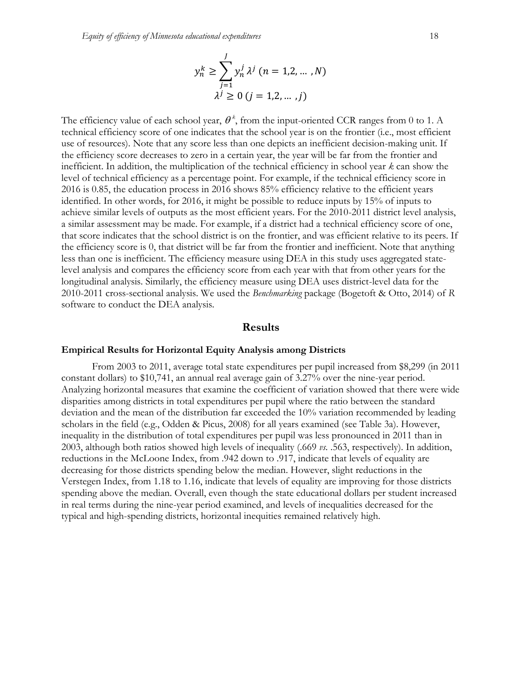$$
y_n^k \ge \sum_{j=1}^J y_n^j \lambda^j \ (n = 1, 2, \dots, N)
$$
  

$$
\lambda^j \ge 0 \ (j = 1, 2, \dots, j)
$$

The efficiency value of each school year,  $\theta^*$ , from the input-oriented CCR ranges from 0 to 1. A technical efficiency score of one indicates that the school year is on the frontier (i.e., most efficient use of resources). Note that any score less than one depicts an inefficient decision-making unit. If the efficiency score decreases to zero in a certain year, the year will be far from the frontier and inefficient. In addition, the multiplication of the technical efficiency in school year *k* can show the level of technical efficiency as a percentage point. For example, if the technical efficiency score in 2016 is 0.85, the education process in 2016 shows 85% efficiency relative to the efficient years identified. In other words, for 2016, it might be possible to reduce inputs by 15% of inputs to achieve similar levels of outputs as the most efficient years. For the 2010-2011 district level analysis, a similar assessment may be made. For example, if a district had a technical efficiency score of one, that score indicates that the school district is on the frontier, and was efficient relative to its peers. If the efficiency score is 0, that district will be far from the frontier and inefficient. Note that anything less than one is inefficient. The efficiency measure using DEA in this study uses aggregated statelevel analysis and compares the efficiency score from each year with that from other years for the longitudinal analysis. Similarly, the efficiency measure using DEA uses district-level data for the 2010-2011 cross-sectional analysis. We used the *Benchmarking* package (Bogetoft & Otto, 2014) of *R* software to conduct the DEA analysis.

### **Results**

#### **Empirical Results for Horizontal Equity Analysis among Districts**

From 2003 to 2011, average total state expenditures per pupil increased from \$8,299 (in 2011 constant dollars) to \$10,741, an annual real average gain of 3.27% over the nine-year period. Analyzing horizontal measures that examine the coefficient of variation showed that there were wide disparities among districts in total expenditures per pupil where the ratio between the standard deviation and the mean of the distribution far exceeded the 10% variation recommended by leading scholars in the field (e.g., Odden & Picus, 2008) for all years examined (see Table 3a). However, inequality in the distribution of total expenditures per pupil was less pronounced in 2011 than in 2003, although both ratios showed high levels of inequality (.669 *vs.* .563, respectively). In addition, reductions in the McLoone Index, from .942 down to .917, indicate that levels of equality are decreasing for those districts spending below the median. However, slight reductions in the Verstegen Index, from 1.18 to 1.16, indicate that levels of equality are improving for those districts spending above the median. Overall, even though the state educational dollars per student increased in real terms during the nine-year period examined, and levels of inequalities decreased for the typical and high-spending districts, horizontal inequities remained relatively high.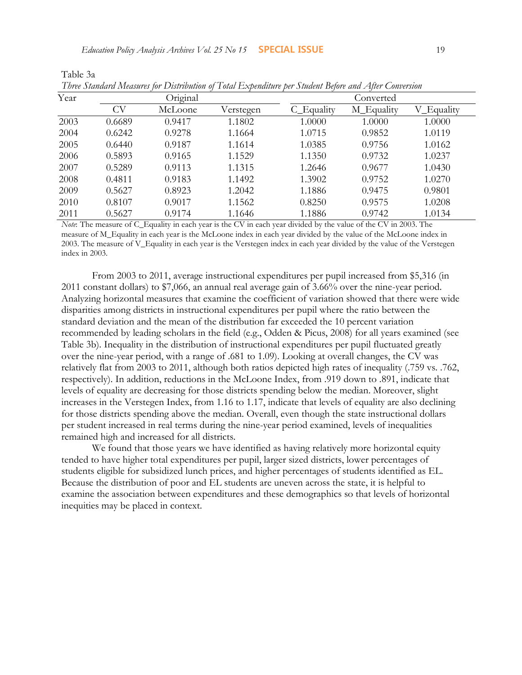Table 3a

| Year |        | Original |           |            | Converted  |            |  |
|------|--------|----------|-----------|------------|------------|------------|--|
|      | CV     | McLoone  | Verstegen | C Equality | M_Equality | V Equality |  |
| 2003 | 0.6689 | 0.9417   | 1.1802    | 1.0000     | 1.0000     | 1.0000     |  |
| 2004 | 0.6242 | 0.9278   | 1.1664    | 1.0715     | 0.9852     | 1.0119     |  |
| 2005 | 0.6440 | 0.9187   | 1.1614    | 1.0385     | 0.9756     | 1.0162     |  |
| 2006 | 0.5893 | 0.9165   | 1.1529    | 1.1350     | 0.9732     | 1.0237     |  |
| 2007 | 0.5289 | 0.9113   | 1.1315    | 1.2646     | 0.9677     | 1.0430     |  |
| 2008 | 0.4811 | 0.9183   | 1.1492    | 1.3902     | 0.9752     | 1.0270     |  |
| 2009 | 0.5627 | 0.8923   | 1.2042    | 1.1886     | 0.9475     | 0.9801     |  |
| 2010 | 0.8107 | 0.9017   | 1.1562    | 0.8250     | 0.9575     | 1.0208     |  |
| 2011 | 0.5627 | 0.9174   | 1.1646    | 1.1886     | 0.9742     | 1.0134     |  |

| Three Standard Measures for Distribution of Total Expenditure per Student Before and After Conversion |  |  |
|-------------------------------------------------------------------------------------------------------|--|--|
|                                                                                                       |  |  |

*Note*: The measure of C\_Equality in each year is the CV in each year divided by the value of the CV in 2003. The measure of M\_Equality in each year is the McLoone index in each year divided by the value of the McLoone index in 2003. The measure of V\_Equality in each year is the Verstegen index in each year divided by the value of the Verstegen index in 2003.

From 2003 to 2011, average instructional expenditures per pupil increased from \$5,316 (in 2011 constant dollars) to \$7,066, an annual real average gain of 3.66% over the nine-year period. Analyzing horizontal measures that examine the coefficient of variation showed that there were wide disparities among districts in instructional expenditures per pupil where the ratio between the standard deviation and the mean of the distribution far exceeded the 10 percent variation recommended by leading scholars in the field (e.g., Odden & Picus, 2008) for all years examined (see Table 3b). Inequality in the distribution of instructional expenditures per pupil fluctuated greatly over the nine-year period, with a range of .681 to 1.09). Looking at overall changes, the CV was relatively flat from 2003 to 2011, although both ratios depicted high rates of inequality (.759 vs. .762, respectively). In addition, reductions in the McLoone Index, from .919 down to .891, indicate that levels of equality are decreasing for those districts spending below the median. Moreover, slight increases in the Verstegen Index, from 1.16 to 1.17, indicate that levels of equality are also declining for those districts spending above the median. Overall, even though the state instructional dollars per student increased in real terms during the nine-year period examined, levels of inequalities remained high and increased for all districts.

We found that those years we have identified as having relatively more horizontal equity tended to have higher total expenditures per pupil, larger sized districts, lower percentages of students eligible for subsidized lunch prices, and higher percentages of students identified as EL. Because the distribution of poor and EL students are uneven across the state, it is helpful to examine the association between expenditures and these demographics so that levels of horizontal inequities may be placed in context.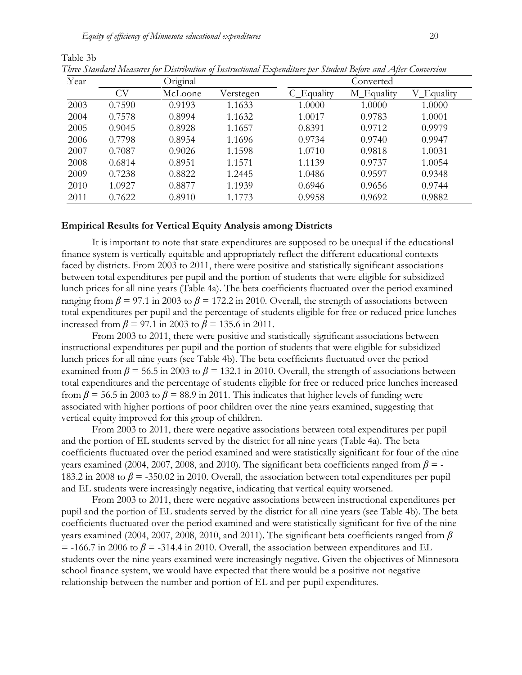Table 3b

| Year |        | Original |           |            | Converted  |            |
|------|--------|----------|-----------|------------|------------|------------|
|      | CV     | McLoone  | Verstegen | C Equality | M_Equality | V_Equality |
| 2003 | 0.7590 | 0.9193   | 1.1633    | 1.0000     | 1.0000     | 1.0000     |
| 2004 | 0.7578 | 0.8994   | 1.1632    | 1.0017     | 0.9783     | 1.0001     |
| 2005 | 0.9045 | 0.8928   | 1.1657    | 0.8391     | 0.9712     | 0.9979     |
| 2006 | 0.7798 | 0.8954   | 1.1696    | 0.9734     | 0.9740     | 0.9947     |
| 2007 | 0.7087 | 0.9026   | 1.1598    | 1.0710     | 0.9818     | 1.0031     |
| 2008 | 0.6814 | 0.8951   | 1.1571    | 1.1139     | 0.9737     | 1.0054     |
| 2009 | 0.7238 | 0.8822   | 1.2445    | 1.0486     | 0.9597     | 0.9348     |
| 2010 | 1.0927 | 0.8877   | 1.1939    | 0.6946     | 0.9656     | 0.9744     |
| 2011 | 0.7622 | 0.8910   | 1.1773    | 0.9958     | 0.9692     | 0.9882     |

*Three Standard Measures for Distribution of Instructional Expenditure per Student Before and After Conversion*

### **Empirical Results for Vertical Equity Analysis among Districts**

It is important to note that state expenditures are supposed to be unequal if the educational finance system is vertically equitable and appropriately reflect the different educational contexts faced by districts. From 2003 to 2011, there were positive and statistically significant associations between total expenditures per pupil and the portion of students that were eligible for subsidized lunch prices for all nine years (Table 4a). The beta coefficients fluctuated over the period examined ranging from  $\beta$  = 97.1 in 2003 to  $\beta$  = 172.2 in 2010. Overall, the strength of associations between total expenditures per pupil and the percentage of students eligible for free or reduced price lunches increased from  $\beta$  = 97.1 in 2003 to  $\beta$  = 135.6 in 2011.

From 2003 to 2011, there were positive and statistically significant associations between instructional expenditures per pupil and the portion of students that were eligible for subsidized lunch prices for all nine years (see Table 4b). The beta coefficients fluctuated over the period examined from  $\beta$  = 56.5 in 2003 to  $\beta$  = 132.1 in 2010. Overall, the strength of associations between total expenditures and the percentage of students eligible for free or reduced price lunches increased from  $\beta$  = 56.5 in 2003 to  $\beta$  = 88.9 in 2011. This indicates that higher levels of funding were associated with higher portions of poor children over the nine years examined, suggesting that vertical equity improved for this group of children.

From 2003 to 2011, there were negative associations between total expenditures per pupil and the portion of EL students served by the district for all nine years (Table 4a). The beta coefficients fluctuated over the period examined and were statistically significant for four of the nine years examined (2004, 2007, 2008, and 2010). The significant beta coefficients ranged from  $\beta$  = -183.2 in 2008 to *β* = -350.02 in 2010. Overall, the association between total expenditures per pupil and EL students were increasingly negative, indicating that vertical equity worsened.

From 2003 to 2011, there were negative associations between instructional expenditures per pupil and the portion of EL students served by the district for all nine years (see Table 4b). The beta coefficients fluctuated over the period examined and were statistically significant for five of the nine years examined (2004, 2007, 2008, 2010, and 2011). The significant beta coefficients ranged from *β*   $=$  -166.7 in 2006 to  $\beta$  = -314.4 in 2010. Overall, the association between expenditures and EL students over the nine years examined were increasingly negative. Given the objectives of Minnesota school finance system, we would have expected that there would be a positive not negative relationship between the number and portion of EL and per-pupil expenditures.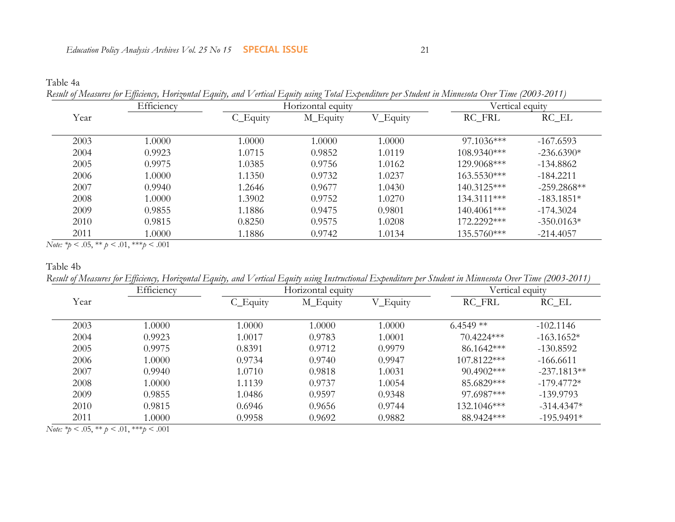|  | Result of Measures for Efficiency, Horizontal Equity, and Vertical Equity using Total Expenditure per Student in Minnesota Over Time (2003-2011) |  |  |
|--|--------------------------------------------------------------------------------------------------------------------------------------------------|--|--|
|  |                                                                                                                                                  |  |  |

|      | Efficiency |          | Horizontal equity |          | Vertical equity |               |
|------|------------|----------|-------------------|----------|-----------------|---------------|
| Year |            | C_Equity | M_Equity          | V_Equity | RC_FRL          | $RC$ $EL$     |
| 2003 | 1.0000     | 1.0000   | 1.0000            | 1.0000   | $97.1036***$    | $-167.6593$   |
| 2004 | 0.9923     | 1.0715   | 0.9852            | 1.0119   | $108.9340***$   | $-236.6390*$  |
| 2005 | 0.9975     | 1.0385   | 0.9756            | 1.0162   | 129.9068***     | $-134.8862$   |
| 2006 | 1.0000     | 1.1350   | 0.9732            | 1.0237   | $163.5530***$   | $-184.2211$   |
| 2007 | 0.9940     | 1.2646   | 0.9677            | 1.0430   | 140.3125***     | $-259.2868**$ |
| 2008 | 1.0000     | 1.3902   | 0.9752            | 1.0270   | 134.3111***     | $-183.1851*$  |
| 2009 | 0.9855     | 1.1886   | 0.9475            | 0.9801   | $140.4061***$   | $-174.3024$   |
| 2010 | 0.9815     | 0.8250   | 0.9575            | 1.0208   | $172.2292***$   | $-350.0163*$  |
| 2011 | 1.0000     | 1.1886   | 0.9742            | 1.0134   | 135.5760***     | $-214.4057$   |

*Note: \*p* < .05, \*\* *p <* .01, \*\*\**p* < .001

Table 4b

*Result of Measures for Efficiency, Horizontal Equity, and Vertical Equity using Instructional Expenditure per Student in Minnesota Over Time (2003-2011)*

|      | Efficiency |          | Horizontal equity |          | Vertical equity |               |
|------|------------|----------|-------------------|----------|-----------------|---------------|
| Year |            | C_Equity | M_Equity          | V_Equity | RC_FRL          | $RC$ $EL$     |
| 2003 | 1.0000     | 1.0000   | 1.0000            | 1.0000   | $6.4549**$      | $-102.1146$   |
| 2004 | 0.9923     | 1.0017   | 0.9783            | 1.0001   | 70.4224***      | $-163.1652*$  |
| 2005 | 0.9975     | 0.8391   | 0.9712            | 0.9979   | $86.1642***$    | $-130.8592$   |
| 2006 | 1.0000     | 0.9734   | 0.9740            | 0.9947   | 107.8122***     | $-166.6611$   |
| 2007 | 0.9940     | 1.0710   | 0.9818            | 1.0031   | $90.4902$ ***   | $-237.1813**$ |
| 2008 | 1.0000     | 1.1139   | 0.9737            | 1.0054   | 85.6829***      | $-179.4772*$  |
| 2009 | 0.9855     | 1.0486   | 0.9597            | 0.9348   | 97.6987***      | $-139.9793$   |
| 2010 | 0.9815     | 0.6946   | 0.9656            | 0.9744   | $132.1046***$   | $-314.4347*$  |
| 2011 | 1.0000     | 0.9958   | 0.9692            | 0.9882   | 88.9424***      | $-195.9491*$  |

*Note: \*p* < .05, \*\* *p <* .01, \*\*\**p* < .001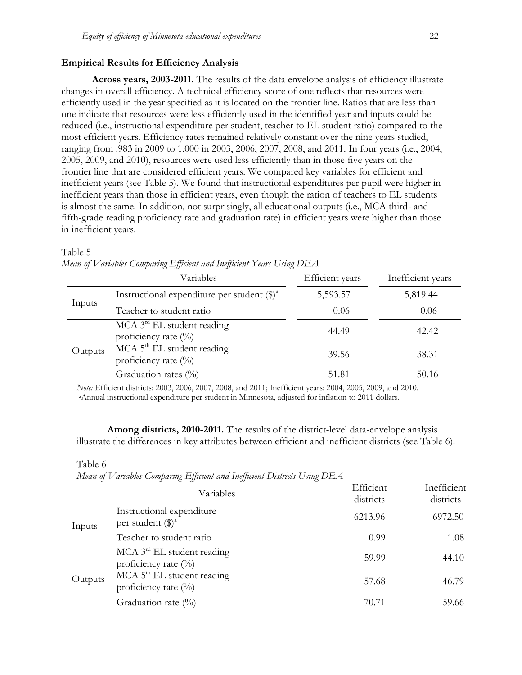#### **Empirical Results for Efficiency Analysis**

**Across years, 2003-2011.** The results of the data envelope analysis of efficiency illustrate changes in overall efficiency. A technical efficiency score of one reflects that resources were efficiently used in the year specified as it is located on the frontier line. Ratios that are less than one indicate that resources were less efficiently used in the identified year and inputs could be reduced (i.e., instructional expenditure per student, teacher to EL student ratio) compared to the most efficient years. Efficiency rates remained relatively constant over the nine years studied, ranging from .983 in 2009 to 1.000 in 2003, 2006, 2007, 2008, and 2011. In four years (i.e., 2004, 2005, 2009, and 2010), resources were used less efficiently than in those five years on the frontier line that are considered efficient years. We compared key variables for efficient and inefficient years (see Table 5). We found that instructional expenditures per pupil were higher in inefficient years than those in efficient years, even though the ration of teachers to EL students is almost the same. In addition, not surprisingly, all educational outputs (i.e., MCA third- and fifth-grade reading proficiency rate and graduation rate) in efficient years were higher than those in inefficient years.

#### Table 5

|         | Variables                                                           | Efficient years | Inefficient years |
|---------|---------------------------------------------------------------------|-----------------|-------------------|
| Inputs  | Instructional expenditure per student $(\text{$\S$})^{\text{a}}$    | 5,593.57        | 5,819.44          |
|         | Teacher to student ratio                                            | 0.06            | 0.06              |
| Outputs | $MCA$ 3 <sup>rd</sup> EL student reading<br>proficiency rate $(\%)$ | 44.49           | 42.42             |
|         | $MCA$ 5 <sup>th</sup> EL student reading<br>proficiency rate $(\%)$ | 39.56           | 38.31             |
|         | Graduation rates $(\%$                                              | 51.81           | 50.16             |

|  |  | Mean of Variables Comparing Efficient and Inefficient Years Using $DEA$ |  |  |
|--|--|-------------------------------------------------------------------------|--|--|
|  |  |                                                                         |  |  |

*Note:* Efficient districts: 2003, 2006, 2007, 2008, and 2011; Inefficient years: 2004, 2005, 2009, and 2010. <sup>a</sup>Annual instructional expenditure per student in Minnesota, adjusted for inflation to 2011 dollars.

**Among districts, 2010-2011.** The results of the district-level data-envelope analysis illustrate the differences in key attributes between efficient and inefficient districts (see Table 6).

#### Table 6

*Mean of Variables Comparing Efficient and Inefficient Districts Using DEA* 

|         | $\cdots \sim$ $\cdots$<br>Variables                                 | Efficient<br>districts | Inefficient<br>districts |
|---------|---------------------------------------------------------------------|------------------------|--------------------------|
| Inputs  | Instructional expenditure<br>per student $(\text{$\$})^{\text{a}}$  | 6213.96                | 6972.50                  |
|         | Teacher to student ratio                                            | 0.99                   | 1.08                     |
| Outputs | $MCA$ 3 <sup>rd</sup> EL student reading<br>proficiency rate $(\%)$ | 59.99                  | 44.10                    |
|         | $MCA$ 5 <sup>th</sup> EL student reading<br>proficiency rate $(\%)$ | 57.68                  | 46.79                    |
|         | Graduation rate $(\%)$                                              | 70.71                  | 59.66                    |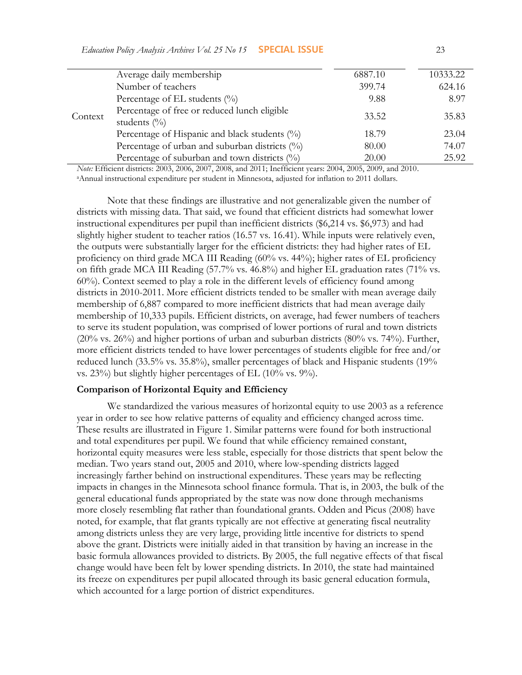| Context | Average daily membership                                        | 6887.10 | 10333.22 |
|---------|-----------------------------------------------------------------|---------|----------|
|         | Number of teachers                                              | 399.74  | 624.16   |
|         | Percentage of EL students $(\%)$                                | 9.88    | 8.97     |
|         | Percentage of free or reduced lunch eligible<br>students $(\%)$ | 33.52   | 35.83    |
|         | Percentage of Hispanic and black students (%)                   | 18.79   | 23.04    |
|         | Percentage of urban and suburban districts $(\%)$               | 80.00   | 74.07    |
|         | Percentage of suburban and town districts $(\%)$                | 20.00   | 25.92    |

*Note:* Efficient districts: 2003, 2006, 2007, 2008, and 2011; Inefficient years: 2004, 2005, 2009, and 2010. <sup>a</sup>Annual instructional expenditure per student in Minnesota, adjusted for inflation to 2011 dollars.

Note that these findings are illustrative and not generalizable given the number of districts with missing data. That said, we found that efficient districts had somewhat lower instructional expenditures per pupil than inefficient districts (\$6,214 vs. \$6,973) and had slightly higher student to teacher ratios (16.57 vs. 16.41). While inputs were relatively even, the outputs were substantially larger for the efficient districts: they had higher rates of EL proficiency on third grade MCA III Reading (60% vs. 44%); higher rates of EL proficiency on fifth grade MCA III Reading (57.7% vs. 46.8%) and higher EL graduation rates (71% vs. 60%). Context seemed to play a role in the different levels of efficiency found among districts in 2010-2011. More efficient districts tended to be smaller with mean average daily membership of 6,887 compared to more inefficient districts that had mean average daily membership of 10,333 pupils. Efficient districts, on average, had fewer numbers of teachers to serve its student population, was comprised of lower portions of rural and town districts (20% vs. 26%) and higher portions of urban and suburban districts (80% vs. 74%). Further, more efficient districts tended to have lower percentages of students eligible for free and/or reduced lunch (33.5% vs. 35.8%), smaller percentages of black and Hispanic students (19% vs. 23%) but slightly higher percentages of EL (10% vs. 9%).

# **Comparison of Horizontal Equity and Efficiency**

We standardized the various measures of horizontal equity to use 2003 as a reference year in order to see how relative patterns of equality and efficiency changed across time. These results are illustrated in Figure 1. Similar patterns were found for both instructional and total expenditures per pupil. We found that while efficiency remained constant, horizontal equity measures were less stable, especially for those districts that spent below the median. Two years stand out, 2005 and 2010, where low-spending districts lagged increasingly farther behind on instructional expenditures. These years may be reflecting impacts in changes in the Minnesota school finance formula. That is, in 2003, the bulk of the general educational funds appropriated by the state was now done through mechanisms more closely resembling flat rather than foundational grants. Odden and Picus (2008) have noted, for example, that flat grants typically are not effective at generating fiscal neutrality among districts unless they are very large, providing little incentive for districts to spend above the grant. Districts were initially aided in that transition by having an increase in the basic formula allowances provided to districts. By 2005, the full negative effects of that fiscal change would have been felt by lower spending districts. In 2010, the state had maintained its freeze on expenditures per pupil allocated through its basic general education formula, which accounted for a large portion of district expenditures.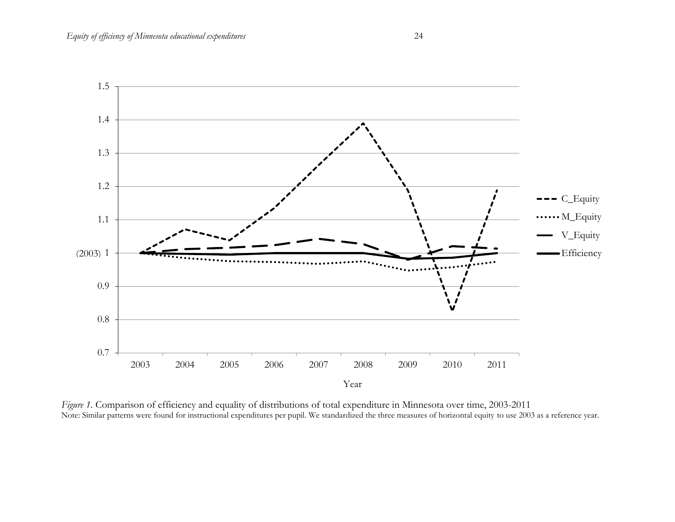

*Figure 1*. Comparison of efficiency and equality of distributions of total expenditure in Minnesota over time, 2003-2011 Note: Similar patterns were found for instructional expenditures per pupil. We standardized the three measures of horizontal equity to use 2003 as a reference year.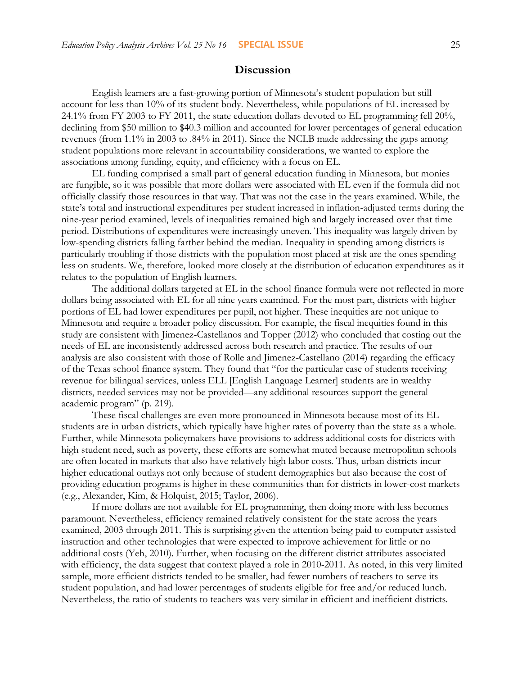# **Discussion**

English learners are a fast-growing portion of Minnesota's student population but still account for less than 10% of its student body. Nevertheless, while populations of EL increased by 24.1% from FY 2003 to FY 2011, the state education dollars devoted to EL programming fell 20%, declining from \$50 million to \$40.3 million and accounted for lower percentages of general education revenues (from 1.1% in 2003 to .84% in 2011). Since the NCLB made addressing the gaps among student populations more relevant in accountability considerations, we wanted to explore the associations among funding, equity, and efficiency with a focus on EL.

EL funding comprised a small part of general education funding in Minnesota, but monies are fungible, so it was possible that more dollars were associated with EL even if the formula did not officially classify those resources in that way. That was not the case in the years examined. While, the state's total and instructional expenditures per student increased in inflation-adjusted terms during the nine-year period examined, levels of inequalities remained high and largely increased over that time period. Distributions of expenditures were increasingly uneven. This inequality was largely driven by low-spending districts falling farther behind the median. Inequality in spending among districts is particularly troubling if those districts with the population most placed at risk are the ones spending less on students. We, therefore, looked more closely at the distribution of education expenditures as it relates to the population of English learners.

The additional dollars targeted at EL in the school finance formula were not reflected in more dollars being associated with EL for all nine years examined. For the most part, districts with higher portions of EL had lower expenditures per pupil, not higher. These inequities are not unique to Minnesota and require a broader policy discussion. For example, the fiscal inequities found in this study are consistent with Jimenez-Castellanos and Topper (2012) who concluded that costing out the needs of EL are inconsistently addressed across both research and practice. The results of our analysis are also consistent with those of Rolle and Jimenez-Castellano (2014) regarding the efficacy of the Texas school finance system. They found that "for the particular case of students receiving revenue for bilingual services, unless ELL [English Language Learner] students are in wealthy districts, needed services may not be provided—any additional resources support the general academic program" (p. 219).

These fiscal challenges are even more pronounced in Minnesota because most of its EL students are in urban districts, which typically have higher rates of poverty than the state as a whole. Further, while Minnesota policymakers have provisions to address additional costs for districts with high student need, such as poverty, these efforts are somewhat muted because metropolitan schools are often located in markets that also have relatively high labor costs. Thus, urban districts incur higher educational outlays not only because of student demographics but also because the cost of providing education programs is higher in these communities than for districts in lower-cost markets (e.g., Alexander, Kim, & Holquist, 2015; Taylor, 2006).

If more dollars are not available for EL programming, then doing more with less becomes paramount. Nevertheless, efficiency remained relatively consistent for the state across the years examined, 2003 through 2011. This is surprising given the attention being paid to computer assisted instruction and other technologies that were expected to improve achievement for little or no additional costs (Yeh, 2010). Further, when focusing on the different district attributes associated with efficiency, the data suggest that context played a role in 2010-2011. As noted, in this very limited sample, more efficient districts tended to be smaller, had fewer numbers of teachers to serve its student population, and had lower percentages of students eligible for free and/or reduced lunch. Nevertheless, the ratio of students to teachers was very similar in efficient and inefficient districts.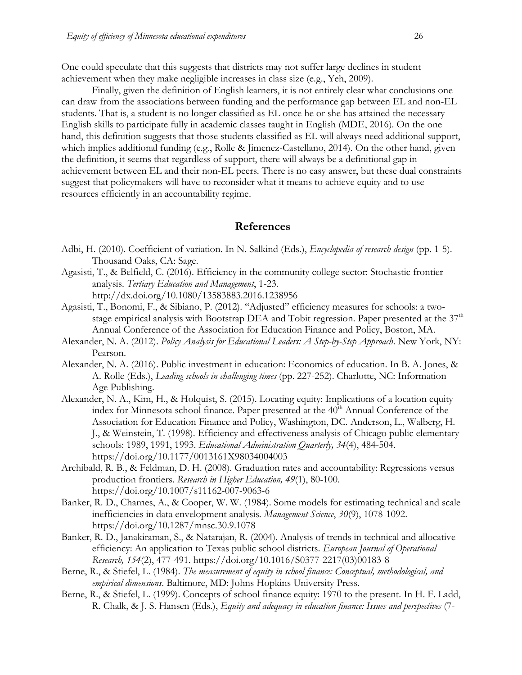One could speculate that this suggests that districts may not suffer large declines in student achievement when they make negligible increases in class size (e.g., Yeh, 2009).

Finally, given the definition of English learners, it is not entirely clear what conclusions one can draw from the associations between funding and the performance gap between EL and non-EL students. That is, a student is no longer classified as EL once he or she has attained the necessary English skills to participate fully in academic classes taught in English (MDE, 2016). On the one hand, this definition suggests that those students classified as EL will always need additional support, which implies additional funding (e.g., Rolle & Jimenez-Castellano, 2014). On the other hand, given the definition, it seems that regardless of support, there will always be a definitional gap in achievement between EL and their non-EL peers. There is no easy answer, but these dual constraints suggest that policymakers will have to reconsider what it means to achieve equity and to use resources efficiently in an accountability regime.

# **References**

- Adbi, H. (2010). Coefficient of variation. In N. Salkind (Eds.), *Encyclopedia of research design* (pp. 1-5). Thousand Oaks, CA: Sage.
- Agasisti, T., & Belfield, C. (2016). Efficiency in the community college sector: Stochastic frontier analysis. *Tertiary Education and Management*, 1-23. <http://dx.doi.org/10.1080/13583883.2016.1238956>
- Agasisti, T., Bonomi, F., & Sibiano, P. (2012). "Adjusted" efficiency measures for schools: a twostage empirical analysis with Bootstrap DEA and Tobit regression. Paper presented at the  $37<sup>th</sup>$ Annual Conference of the Association for Education Finance and Policy, Boston, MA.
- Alexander, N. A. (2012). *Policy Analysis for Educational Leaders: A Step-by-Step Approach*. New York, NY: Pearson.
- Alexander, N. A. (2016). Public investment in education: Economics of education. In B. A. Jones, & A. Rolle (Eds.), *Leading schools in challenging times* (pp. 227-252). Charlotte, NC: Information Age Publishing.
- Alexander, N. A., Kim, H., & Holquist, S. (2015). Locating equity: Implications of a location equity index for Minnesota school finance. Paper presented at the 40<sup>th</sup> Annual Conference of the Association for Education Finance and Policy, Washington, DC. Anderson, L., Walberg, H. J., & Weinstein, T. (1998). Efficiency and effectiveness analysis of Chicago public elementary schools: 1989, 1991, 1993. *Educational Administration Quarterly, 34*(4), 484-504. <https://doi.org/10.1177/0013161X98034004003>
- Archibald, R. B., & Feldman, D. H. (2008). Graduation rates and accountability: Regressions versus production frontiers. *Research in Higher Education, 49*(1), 80-100. <https://doi.org/10.1007/s11162-007-9063-6>
- Banker, R. D., Charnes, A., & Cooper, W. W. (1984). Some models for estimating technical and scale inefficiencies in data envelopment analysis. *Management Science*, *30*(9), 1078-1092. <https://doi.org/10.1287/mnsc.30.9.1078>
- Banker, R. D., Janakiraman, S., & Natarajan, R. (2004). Analysis of trends in technical and allocative efficiency: An application to Texas public school districts. *European Journal of Operational Research, 154*(2), 477-491. [https://doi.org/10.1016/S0377-2217\(03\)00183-8](https://doi.org/10.1016/S0377-2217(03)00183-8)
- Berne, R., & Stiefel, L. (1984). *The measurement of equity in school finance: Conceptual, methodological, and empirical dimensions*. Baltimore, MD: Johns Hopkins University Press.
- Berne, R., & Stiefel, L. (1999). Concepts of school finance equity: 1970 to the present. In H. F. Ladd, R. Chalk, & J. S. Hansen (Eds.), *Equity and adequacy in education finance: Issues and perspectives* (7-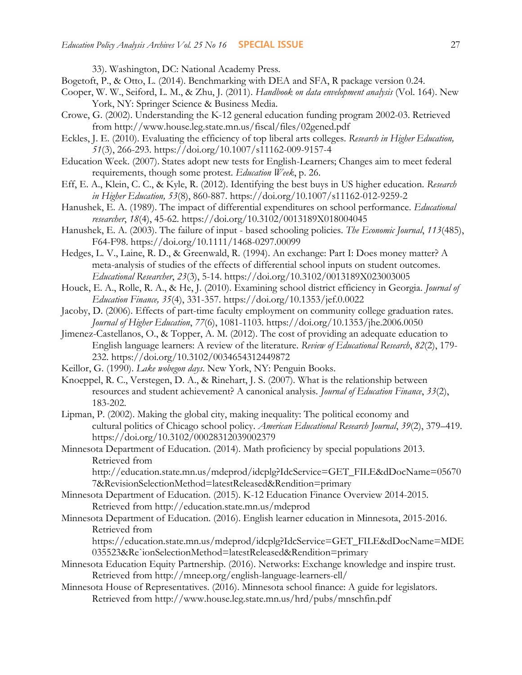33). Washington, DC: National Academy Press.

- Bogetoft, P., & Otto, L. (2014). Benchmarking with DEA and SFA, R package version 0.24.
- Cooper, W. W., Seiford, L. M., & Zhu, J. (2011). *Handbook on data envelopment analysis* (Vol. 164). New York, NY: Springer Science & Business Media.
- Crowe, G. (2002). Understanding the K-12 general education funding program 2002-03. Retrieved from http://www.house.leg.state.mn.us/fiscal/files/02gened.pdf
- Eckles, J. E. (2010). Evaluating the efficiency of top liberal arts colleges. *Research in Higher Education, 51*(3), 266-293.<https://doi.org/10.1007/s11162-009-9157-4>
- Education Week. (2007). States adopt new tests for English-Learners; Changes aim to meet federal requirements, though some protest. *Education Week*, p. 26.
- Eff, E. A., Klein, C. C., & Kyle, R. (2012). Identifying the best buys in US higher education. *Research in Higher Education, 53*(8), 860-887.<https://doi.org/10.1007/s11162-012-9259-2>
- Hanushek, E. A. (1989). The impact of differential expenditures on school performance. *Educational researcher*, *18*(4), 45-62.<https://doi.org/10.3102/0013189X018004045>
- Hanushek, E. A. (2003). The failure of input based schooling policies. *The Economic Journal*, *113*(485), F64-F98.<https://doi.org/10.1111/1468-0297.00099>
- Hedges, L. V., Laine, R. D., & Greenwald, R. (1994). An exchange: Part I: Does money matter? A meta-analysis of studies of the effects of differential school inputs on student outcomes. *Educational Researcher*, *23*(3), 5-14.<https://doi.org/10.3102/0013189X023003005>
- Houck, E. A., Rolle, R. A., & He, J. (2010). Examining school district efficiency in Georgia. *Journal of Education Finance, 35*(4), 331-357.<https://doi.org/10.1353/jef.0.0022>
- Jacoby, D. (2006). Effects of part-time faculty employment on community college graduation rates. *Journal of Higher Education*, *77*(6), 1081-1103.<https://doi.org/10.1353/jhe.2006.0050>
- Jimenez-Castellanos, O., & Topper, A. M. (2012). The cost of providing an adequate education to English language learners: A review of the literature. *Review of Educational Research*, *82*(2), 179- 232.<https://doi.org/10.3102/0034654312449872>
- Keillor, G. (1990). *Lake wobegon days*. New York, NY: Penguin Books.
- Knoeppel, R. C., Verstegen, D. A., & Rinehart, J. S. (2007). What is the relationship between resources and student achievement? A canonical analysis. *Journal of Education Finance*, *33*(2), 183-202.
- Lipman, P. (2002). Making the global city, making inequality: The political economy and cultural politics of Chicago school policy. *American Educational Research Journal*, *39*(2), 379–419. <https://doi.org/10.3102/00028312039002379>
- Minnesota Department of Education. (2014). Math proficiency by special populations 2013. Retrieved from

http://education.state.mn.us/mdeprod/idcplg?IdcService=GET\_FILE&dDocName=05670 7&RevisionSelectionMethod=latestReleased&Rendition=primary

- Minnesota Department of Education. (2015). K-12 Education Finance Overview 2014-2015. Retrieved from http://education.state.mn.us/mdeprod
- Minnesota Department of Education. (2016). English learner education in Minnesota, 2015-2016. Retrieved from

https://education.state.mn.us/mdeprod/idcplg?IdcService=GET\_FILE&dDocName=MDE 035523&Re`ionSelectionMethod=latestReleased&Rendition=primary

- Minnesota Education Equity Partnership. (2016). Networks: Exchange knowledge and inspire trust. Retrieved from http://mneep.org/english-language-learners-ell/
- Minnesota House of Representatives. (2016). Minnesota school finance: A guide for legislators. Retrieved from http://www.house.leg.state.mn.us/hrd/pubs/mnschfin.pdf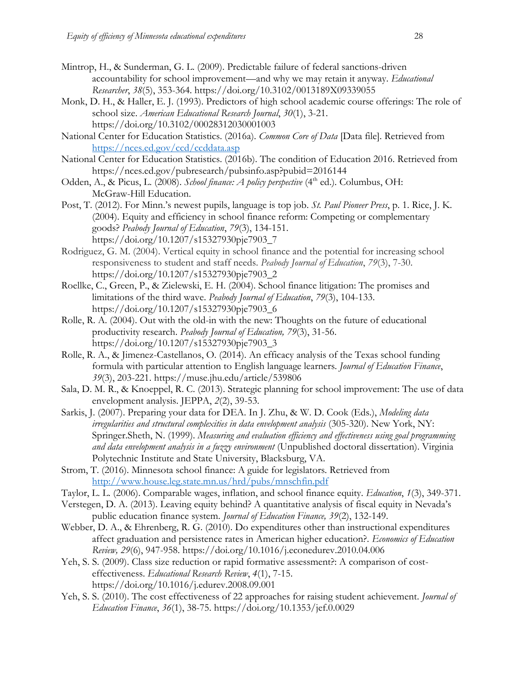- Mintrop, H., & Sunderman, G. L. (2009). Predictable failure of federal sanctions-driven accountability for school improvement—and why we may retain it anyway. *Educational Researcher*, *38*(5), 353-364.<https://doi.org/10.3102/0013189X09339055>
- Monk, D. H., & Haller, E. J. (1993). Predictors of high school academic course offerings: The role of school size. *American Educational Research Journal*, *30*(1), 3-21. <https://doi.org/10.3102/00028312030001003>
- National Center for Education Statistics. (2016a). *Common Core of Data* [Data file]. Retrieved from <https://nces.ed.gov/ccd/ccddata.asp>
- National Center for Education Statistics. (2016b). The condition of Education 2016. Retrieved from https://nces.ed.gov/pubresearch/pubsinfo.asp?pubid=2016144
- Odden, A., & Picus, L. (2008). *School finance: A policy perspective* (4<sup>th</sup> ed.). Columbus, OH: McGraw-Hill Education.
- Post, T. (2012). For Minn.'s newest pupils, language is top job. *St. Paul Pioneer Press*, p. 1. Rice, J. K. (2004). Equity and efficiency in school finance reform: Competing or complementary goods? *Peabody Journal of Education*, *79*(3), 134-151. [https://doi.org/10.1207/s15327930pje7903\\_7](https://doi.org/10.1207/s15327930pje7903_7)
- Rodriguez, G. M. (2004). Vertical equity in school finance and the potential for increasing school responsiveness to student and staff needs. *Peabody Journal of Education*, *79*(3), 7-30. [https://doi.org/10.1207/s15327930pje7903\\_2](https://doi.org/10.1207/s15327930pje7903_2)
- Roellke, C., Green, P., & Zielewski, E. H. (2004). School finance litigation: The promises and limitations of the third wave. *Peabody Journal of Education*, *79*(3), 104-133. [https://doi.org/10.1207/s15327930pje7903\\_6](https://doi.org/10.1207/s15327930pje7903_6)
- Rolle, R. A. (2004). Out with the old-in with the new: Thoughts on the future of educational productivity research. *Peabody Journal of Education, 79*(3), 31-56. [https://doi.org/10.1207/s15327930pje7903\\_3](https://doi.org/10.1207/s15327930pje7903_3)
- Rolle, R. A., & Jimenez-Castellanos, O. (2014). An efficacy analysis of the Texas school funding formula with particular attention to English language learners. *Journal of Education Finance*, *39*(3), 203-221. https://muse.jhu.edu/article/539806
- Sala, D. M. R., & Knoeppel, R. C. (2013). Strategic planning for school improvement: The use of data envelopment analysis. JEPPA, *2*(2), 39-53.
- Sarkis, J. (2007). Preparing your data for DEA. In J. Zhu, & W. D. Cook (Eds.), *Modeling data irregularities and structural complexities in data envelopment analysis* (305-320). New York, NY: Springer.Sheth, N. (1999). *Measuring and evaluation efficiency and effectiveness using goal programming and data envelopment analysis in a fuzzy environment* (Unpublished doctoral dissertation). Virginia Polytechnic Institute and State University, Blacksburg, VA.
- Strom, T. (2016). Minnesota school finance: A guide for legislators. Retrieved from <http://www.house.leg.state.mn.us/hrd/pubs/mnschfin.pdf>
- Taylor, L. L. (2006). Comparable wages, inflation, and school finance equity. *Education*, *1*(3), 349-371.
- Verstegen, D. A. (2013). Leaving equity behind? A quantitative analysis of fiscal equity in Nevada's public education finance system. *Journal of Education Finance, 39*(2), 132-149.
- Webber, D. A., & Ehrenberg, R. G. (2010). Do expenditures other than instructional expenditures affect graduation and persistence rates in American higher education?. *Economics of Education Review, 29*(6), 947-958.<https://doi.org/10.1016/j.econedurev.2010.04.006>
- Yeh, S. S. (2009). Class size reduction or rapid formative assessment?: A comparison of costeffectiveness. *Educational Research Review*, *4*(1), 7-15. <https://doi.org/10.1016/j.edurev.2008.09.001>
- Yeh, S. S. (2010). The cost effectiveness of 22 approaches for raising student achievement. *Journal of Education Finance*, *36*(1), 38-75.<https://doi.org/10.1353/jef.0.0029>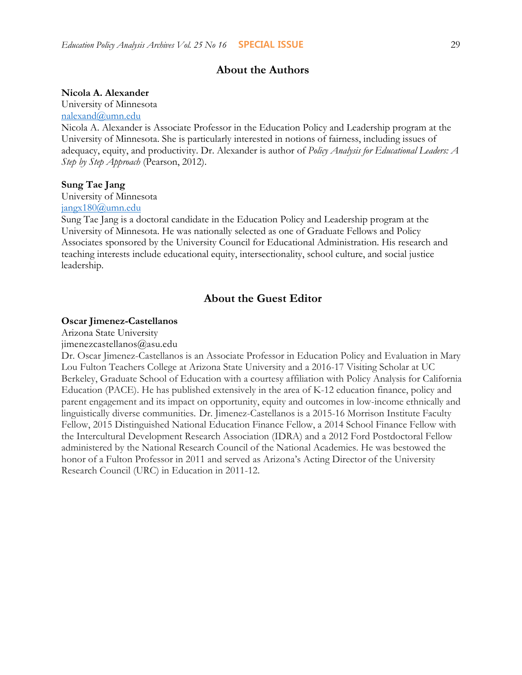# **About the Authors**

#### **Nicola A. Alexander**

University of Minnesota

[nalexand@umn.edu](mailto:nalexand@umn.edu)

Nicola A. Alexander is Associate Professor in the Education Policy and Leadership program at the University of Minnesota. She is particularly interested in notions of fairness, including issues of adequacy, equity, and productivity. Dr. Alexander is author of *Policy Analysis for Educational Leaders: A Step by Step Approach* (Pearson, 2012).

### **Sung Tae Jang**

University of Minnesota

[jangx180@umn.edu](mailto:jangx180@umn.edu)

Sung Tae Jang is a doctoral candidate in the Education Policy and Leadership program at the University of Minnesota. He was nationally selected as one of Graduate Fellows and Policy Associates sponsored by the University Council for Educational Administration. His research and teaching interests include educational equity, intersectionality, school culture, and social justice leadership.

# **About the Guest Editor**

#### **Oscar Jimenez-Castellanos**

Arizona State University jimenezcastellanos@asu.edu

Dr. Oscar Jimenez-Castellanos is an Associate Professor in Education Policy and Evaluation in Mary Lou Fulton Teachers College at Arizona State University and a 2016-17 Visiting Scholar at UC Berkeley, Graduate School of Education with a courtesy affiliation with Policy Analysis for California Education (PACE). He has published extensively in the area of K-12 education finance, policy and parent engagement and its impact on opportunity, equity and outcomes in low-income ethnically and linguistically diverse communities. Dr. Jimenez-Castellanos is a 2015-16 Morrison Institute Faculty Fellow, 2015 Distinguished National Education Finance Fellow, a 2014 School Finance Fellow with the Intercultural Development Research Association (IDRA) and a 2012 Ford Postdoctoral Fellow administered by the National Research Council of the National Academies. He was bestowed the honor of a Fulton Professor in 2011 and served as Arizona's Acting Director of the University Research Council (URC) in Education in 2011-12.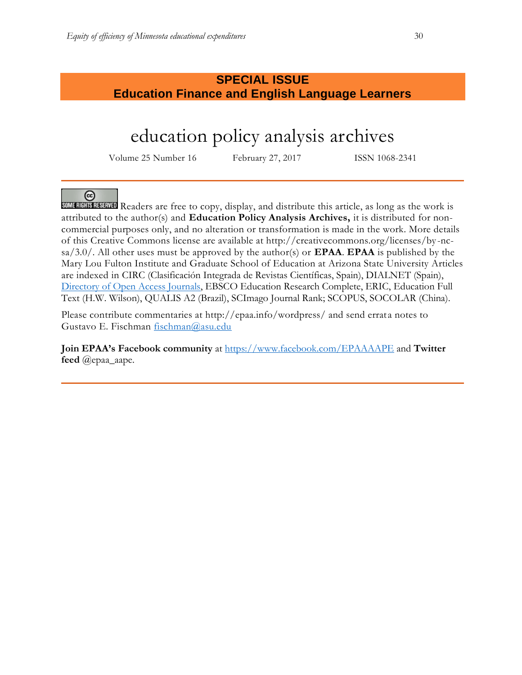# **SPECIAL ISSUE Education Finance and English Language Learners**

# education policy analysis archives

Volume 25 Number 16 February 27, 2017 ISSN 1068-2341

# ල

Readers are free to copy, display, and distribute this article, as long as the work is attributed to the author(s) and **Education Policy Analysis Archives,** it is distributed for noncommercial purposes only, and no alteration or transformation is made in the work. More details of this Creative Commons license are available at http://creativecommons.org/licenses/by -ncsa/3.0/. All other uses must be approved by the author(s) or **EPAA**. **EPAA** is published by the Mary Lou Fulton Institute and Graduate School of Education at Arizona State University Articles are indexed in CIRC (Clasificación Integrada de Revistas Científicas, Spain), DIALNET (Spain), [Directory of Open Access Journals,](http://www.doaj.org/) EBSCO Education Research Complete, ERIC, Education Full Text (H.W. Wilson), QUALIS A2 (Brazil), SCImago Journal Rank; SCOPUS, SOCOLAR (China).

Please contribute commentaries at http://epaa.info/wordpress/ and send errata notes to Gustavo E. Fischman [fischman@asu.edu](mailto:fischman@asu.edu)

**Join EPAA's Facebook community** at<https://www.facebook.com/EPAAAAPE> and **Twitter feed** @epaa\_aape.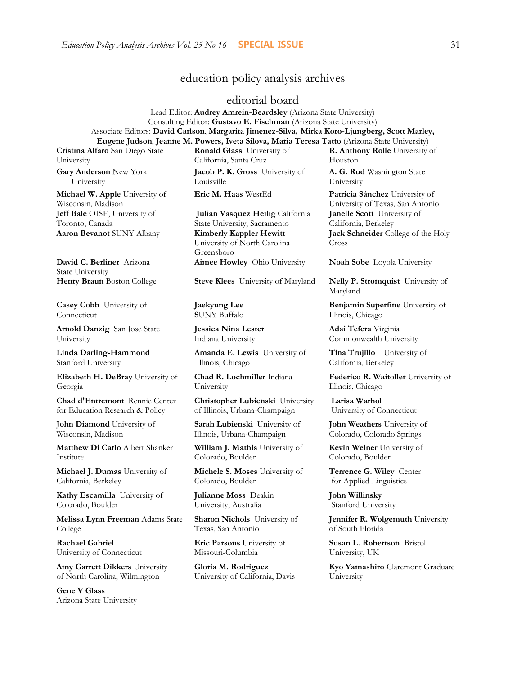# education policy analysis archives

## editorial board

Lead Editor: **Audrey Amrein-Beardsley** (Arizona State University) Consulting Editor: **Gustavo E. Fischman** (Arizona State University) Associate Editors: **David Carlson**, **Margarita Jimenez-Silva, Mirka Koro-Ljungberg, Scott Marley, Eugene Judson**, **Jeanne M. Powers, Iveta Silova, Maria Teresa Tatto** (Arizona State University)

**Cristina Alfaro** San Diego State University **Gary Anderson** New York

 University **Michael W. Apple** University of Wisconsin, Madison **Jeff Bale** OISE, University of

Toronto, Canada **Aaron Bevanot** SUNY Albany **Kimberly Kappler Hewitt**

**David C. Berliner** Arizona State University

**Casey Cobb** University of Connecticut

**Arnold Danzig** San Jose State University

**Linda Darling-Hammond**  Stanford University

**Elizabeth H. DeBray** University of Georgia

**Chad d'Entremont** Rennie Center for Education Research & Policy

**John Diamond** University of Wisconsin, Madison

**Matthew Di Carlo** Albert Shanker Institute

**Michael J. Dumas** University of California, Berkeley

**Kathy Escamilla** University of Colorado, Boulder

**Melissa Lynn Freeman** Adams State College

**Rachael Gabriel** University of Connecticut

**Amy Garrett Dikkers** University of North Carolina, Wilmington

**Gene V Glass**  Arizona State University **Ronald Glass** University of California, Santa Cruz **Jacob P. K. Gross** University of Louisville

**Julian Vasquez Heilig** California State University, Sacramento University of North Carolina Greensboro **Aimee Howley** Ohio University **Noah Sobe** Loyola University

**Henry Braun** Boston College **Steve Klees** University of Maryland **Nelly P. Stromquist** University of

**Jaekyung Lee S**UNY Buffalo

**Jessica Nina Lester** Indiana University

**Amanda E. Lewis** University of Illinois, Chicago

**Chad R. Lochmiller** Indiana University

**Christopher Lubienski** University of Illinois, Urbana-Champaign

**Sarah Lubienski** University of Illinois, Urbana-Champaign

**William J. Mathis** University of Colorado, Boulder

**Michele S. Moses** University of Colorado, Boulder

**Julianne Moss** Deakin University, Australia

**Sharon Nichols** University of Texas, San Antonio

**Eric Parsons** University of Missouri-Columbia

**Gloria M. Rodriguez** University of California, Davis **A. G. Rud** Washington State University

Houston

**R. Anthony Rolle** University of

**Eric M. Haas** WestEd **Patricia Sánchez** University of University of Texas, San Antonio **Janelle Scott** University of California, Berkeley **Jack Schneider** College of the Holy Cross

Maryland

**Benjamin Superfine** University of Illinois, Chicago

**Adai Tefera** Virginia Commonwealth University

**Tina Trujillo** University of California, Berkeley

**Federico R. Waitoller** University of Illinois, Chicago

**Larisa Warhol** University of Connecticut

**John Weathers** University of Colorado, Colorado Springs

**Kevin Welner** University of Colorado, Boulder

**Terrence G. Wiley** Center for Applied Linguistics

**John Willinsky**  Stanford University

**Jennifer R. Wolgemuth** University of South Florida

**Susan L. Robertson** Bristol University, UK

**Kyo Yamashiro** Claremont Graduate University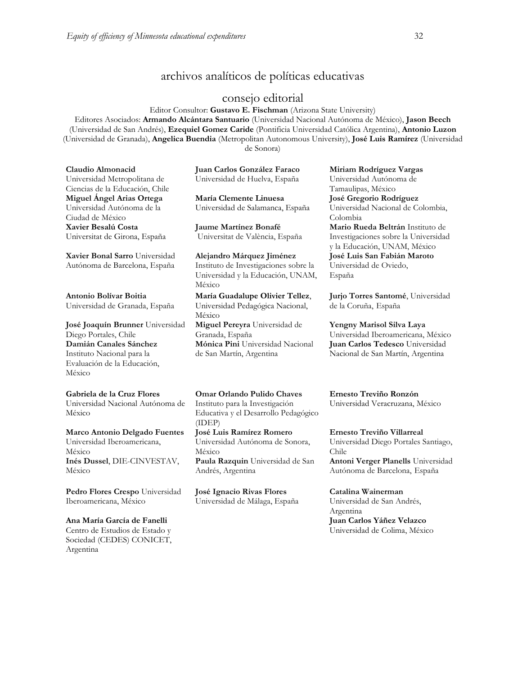# archivos analíticos de políticas educativas

# consejo editorial

Editor Consultor: **Gustavo E. Fischman** (Arizona State University) Editores Asociados: **Armando Alcántara Santuario** (Universidad Nacional Autónoma de México), **Jason Beech** (Universidad de San Andrés), **Ezequiel Gomez Caride** (Pontificia Universidad Católica Argentina), **Antonio Luzon** (Universidad de Granada), **Angelica Buendia** (Metropolitan Autonomous University), **José Luis Ramírez** (Universidad de Sonora)

**Claudio Almonacid**

Universidad Metropolitana de Ciencias de la Educación, Chile **Miguel Ángel Arias Ortega**  Universidad Autónoma de la Ciudad de México **Xavier Besalú Costa**  Universitat de Girona, España

**Xavier Bonal Sarro** Universidad Autónoma de Barcelona, España

**Antonio Bolívar Boitia** Universidad de Granada, España

**José Joaquín Brunner** Universidad Diego Portales, Chile **Damián Canales Sánchez** Instituto Nacional para la Evaluación de la Educación, México

**Gabriela de la Cruz Flores** Universidad Nacional Autónoma de México

**Marco Antonio Delgado Fuentes** Universidad Iberoamericana, México **Inés Dussel**, DIE-CINVESTAV, México

**Pedro Flores Crespo** Universidad Iberoamericana, México

**Ana María García de Fanelli**  Centro de Estudios de Estado y Sociedad (CEDES) CONICET, Argentina

**Juan Carlos González Faraco**  Universidad de Huelva, España

**María Clemente Linuesa**  Universidad de Salamanca, España

**Jaume Martínez Bonafé** Universitat de València, España

**Alejandro Márquez Jiménez**  Instituto de Investigaciones sobre la Universidad y la Educación, UNAM, México

**María Guadalupe Olivier Tellez**, Universidad Pedagógica Nacional, México **Miguel Pereyra** Universidad de Granada, España **Mónica Pini** Universidad Nacional de San Martín, Argentina

Universidad Autónoma de Tamaulipas, México **José Gregorio Rodríguez**  Universidad Nacional de Colombia, Colombia **Mario Rueda Beltrán** Instituto de Investigaciones sobre la Universidad y la Educación, UNAM, México **José Luis San Fabián Maroto**  Universidad de Oviedo, España

**Miriam Rodríguez Vargas**

**Jurjo Torres Santomé**, Universidad de la Coruña, España

**Yengny Marisol Silva Laya** Universidad Iberoamericana, México **Juan Carlos Tedesco** Universidad Nacional de San Martín, Argentina

**Omar Orlando Pulido Chaves** Instituto para la Investigación Educativa y el Desarrollo Pedagógico (IDEP) **José Luis Ramírez Romero** Universidad Autónoma de Sonora, México **Paula Razquin** Universidad de San Andrés, Argentina

**José Ignacio Rivas Flores** Universidad de Málaga, España **Ernesto Treviño Ronzón** Universidad Veracruzana, México

**Ernesto Treviño Villarreal** Universidad Diego Portales Santiago, Chile

**Antoni Verger Planells** Universidad Autónoma de Barcelona, España

**Catalina Wainerman** Universidad de San Andrés, Argentina **Juan Carlos Yáñez Velazco** Universidad de Colima, México